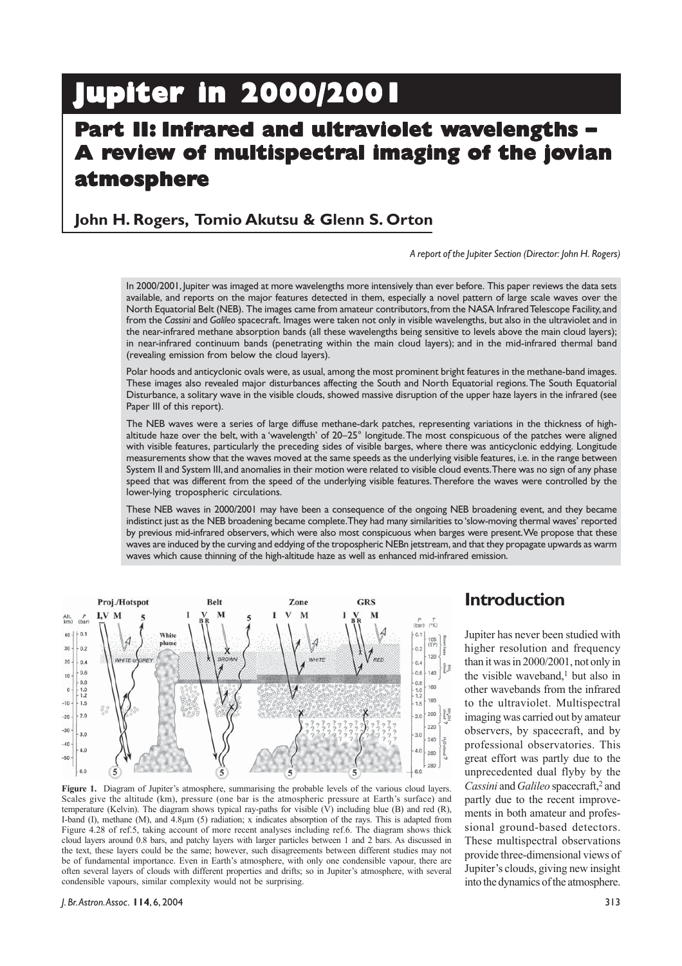# **Jupiter in 2000/2001 Jupiter in 2000/2001**

# **Part II: Infrared and ultraviolet wavelengths – A review of multispectral imaging of the jovian atmospher tmosphere**

# **John H. Rogers, Tomio Akutsu & Glenn S. Orton**

*A report of the Jupiter Section (Director: John H. Rogers)*

In 2000/2001, Jupiter was imaged at more wavelengths more intensively than ever before. This paper reviews the data sets available, and reports on the major features detected in them, especially a novel pattern of large scale waves over the North Equatorial Belt (NEB). The images came from amateur contributors, from the NASA Infrared Telescope Facility, and from the *Cassini* and *Galileo* spacecraft. Images were taken not only in visible wavelengths, but also in the ultraviolet and in the near-infrared methane absorption bands (all these wavelengths being sensitive to levels above the main cloud layers); in near-infrared continuum bands (penetrating within the main cloud layers); and in the mid-infrared thermal band (revealing emission from below the cloud layers).

Polar hoods and anticyclonic ovals were, as usual, among the most prominent bright features in the methane-band images. These images also revealed major disturbances affecting the South and North Equatorial regions. The South Equatorial Disturbance, a solitary wave in the visible clouds, showed massive disruption of the upper haze layers in the infrared (see Paper III of this report).

The NEB waves were a series of large diffuse methane-dark patches, representing variations in the thickness of highaltitude haze over the belt, with a 'wavelength' of 20–25° longitude. The most conspicuous of the patches were aligned with visible features, particularly the preceding sides of visible barges, where there was anticyclonic eddying. Longitude measurements show that the waves moved at the same speeds as the underlying visible features, i.e. in the range between System II and System III, and anomalies in their motion were related to visible cloud events. There was no sign of any phase speed that was different from the speed of the underlying visible features. Therefore the waves were controlled by the lower-lying tropospheric circulations.

These NEB waves in 2000/2001 may have been a consequence of the ongoing NEB broadening event, and they became indistinct just as the NEB broadening became complete. They had many similarities to 'slow-moving thermal waves' reported by previous mid-infrared observers, which were also most conspicuous when barges were present. We propose that these waves are induced by the curving and eddying of the tropospheric NEBn jetstream, and that they propagate upwards as warm waves which cause thinning of the high-altitude haze as well as enhanced mid-infrared emission.



**Figure 1.** Diagram of Jupiter's atmosphere, summarising the probable levels of the various cloud layers. Scales give the altitude (km), pressure (one bar is the atmospheric pressure at Earth's surface) and temperature (Kelvin). The diagram shows typical ray-paths for visible  $(\vec{V})$  including blue (B) and red (R), I-band (I), methane (M), and 4.8µm (5) radiation; x indicates absorption of the rays. This is adapted from Figure 4.28 of ref.5, taking account of more recent analyses including ref.6. The diagram shows thick cloud layers around 0.8 bars, and patchy layers with larger particles between 1 and 2 bars. As discussed in the text, these layers could be the same; however, such disagreements between different studies may not be of fundamental importance. Even in Earth's atmosphere, with only one condensible vapour, there are often several layers of clouds with different properties and drifts; so in Jupiter's atmosphere, with several condensible vapours, similar complexity would not be surprising.

# **Introduction**

Jupiter has never been studied with higher resolution and frequency than it was in 2000/2001, not only in the visible waveband,<sup>1</sup> but also in other wavebands from the infrared to the ultraviolet. Multispectral imaging was carried out by amateur observers, by spacecraft, and by professional observatories. This great effort was partly due to the unprecedented dual flyby by the *Cassini* and *Galileo* spacecraft,2 and partly due to the recent improvements in both amateur and professional ground-based detectors. These multispectral observations provide three-dimensional views of Jupiter's clouds, giving new insight into the dynamics of the atmosphere.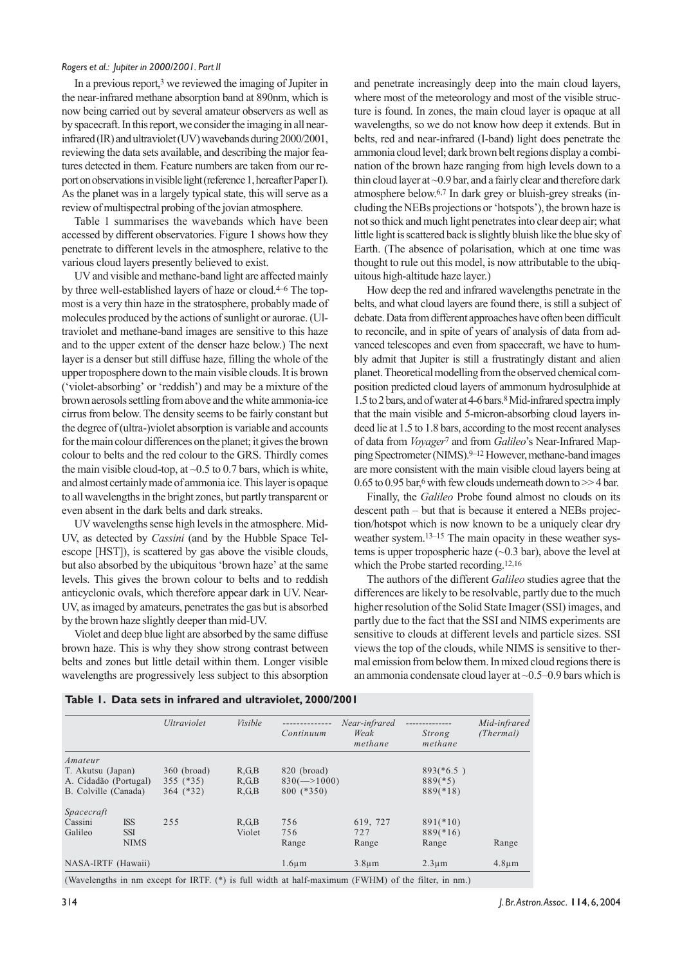In a previous report,<sup>3</sup> we reviewed the imaging of Jupiter in the near-infrared methane absorption band at 890nm, which is now being carried out by several amateur observers as well as by spacecraft. In this report, we consider the imaging in all nearinfrared (IR) and ultraviolet (UV) wavebands during 2000/2001, reviewing the data sets available, and describing the major features detected in them. Feature numbers are taken from our report on observations in visible light (reference 1, hereafter Paper I). As the planet was in a largely typical state, this will serve as a review of multispectral probing of the jovian atmosphere.

Table 1 summarises the wavebands which have been accessed by different observatories. Figure 1 shows how they penetrate to different levels in the atmosphere, relative to the various cloud layers presently believed to exist.

UV and visible and methane-band light are affected mainly by three well-established layers of haze or cloud.<sup>4-6</sup> The topmost is a very thin haze in the stratosphere, probably made of molecules produced by the actions of sunlight or aurorae. (Ultraviolet and methane-band images are sensitive to this haze and to the upper extent of the denser haze below.) The next layer is a denser but still diffuse haze, filling the whole of the upper troposphere down to the main visible clouds. It is brown ('violet-absorbing' or 'reddish') and may be a mixture of the brown aerosols settling from above and the white ammonia-ice cirrus from below. The density seems to be fairly constant but the degree of (ultra-)violet absorption is variable and accounts for the main colour differences on the planet; it gives the brown colour to belts and the red colour to the GRS. Thirdly comes the main visible cloud-top, at  $\sim 0.5$  to 0.7 bars, which is white, and almost certainly made of ammonia ice. This layer is opaque to all wavelengths in the bright zones, but partly transparent or even absent in the dark belts and dark streaks.

UV wavelengths sense high levels in the atmosphere. Mid-UV, as detected by *Cassini* (and by the Hubble Space Telescope [HST]), is scattered by gas above the visible clouds, but also absorbed by the ubiquitous 'brown haze' at the same levels. This gives the brown colour to belts and to reddish anticyclonic ovals, which therefore appear dark in UV. Near-UV, as imaged by amateurs, penetrates the gas but is absorbed by the brown haze slightly deeper than mid-UV.

Violet and deep blue light are absorbed by the same diffuse brown haze. This is why they show strong contrast between belts and zones but little detail within them. Longer visible wavelengths are progressively less subject to this absorption and penetrate increasingly deep into the main cloud layers, where most of the meteorology and most of the visible structure is found. In zones, the main cloud layer is opaque at all wavelengths, so we do not know how deep it extends. But in belts, red and near-infrared (I-band) light does penetrate the ammonia cloud level; dark brown belt regions display a combination of the brown haze ranging from high levels down to a thin cloud layer at ~0.9 bar, and a fairly clear and therefore dark atmosphere below.6,7 In dark grey or bluish-grey streaks (including the NEBs projections or 'hotspots'), the brown haze is not so thick and much light penetrates into clear deep air; what little light is scattered back is slightly bluish like the blue sky of Earth. (The absence of polarisation, which at one time was thought to rule out this model, is now attributable to the ubiquitous high-altitude haze layer.)

How deep the red and infrared wavelengths penetrate in the belts, and what cloud layers are found there, is still a subject of debate. Data from different approaches have often been difficult to reconcile, and in spite of years of analysis of data from advanced telescopes and even from spacecraft, we have to humbly admit that Jupiter is still a frustratingly distant and alien planet. Theoretical modelling from the observed chemical composition predicted cloud layers of ammonum hydrosulphide at 1.5 to 2 bars, and of water at 4-6 bars.8 Mid-infrared spectra imply that the main visible and 5-micron-absorbing cloud layers indeed lie at 1.5 to 1.8 bars, according to the most recent analyses of data from *Voyager*7 and from *Galileo*'s Near-Infrared Mapping Spectrometer (NIMS).<sup>9–12</sup> However, methane-band images are more consistent with the main visible cloud layers being at  $0.65$  to  $0.95$  bar,<sup>6</sup> with few clouds underneath down to  $>>$  4 bar.

Finally, the *Galileo* Probe found almost no clouds on its descent path – but that is because it entered a NEBs projection/hotspot which is now known to be a uniquely clear dry weather system.13–15 The main opacity in these weather systems is upper tropospheric haze  $(\sim 0.3 \text{ bar})$ , above the level at which the Probe started recording.12,16

The authors of the different *Galileo* studies agree that the differences are likely to be resolvable, partly due to the much higher resolution of the Solid State Imager (SSI) images, and partly due to the fact that the SSI and NIMS experiments are sensitive to clouds at different levels and particle sizes. SSI views the top of the clouds, while NIMS is sensitive to thermal emission from below them. In mixed cloud regions there is an ammonia condensate cloud layer at ~0.5–0.9 bars which is

#### **Table 1. Data sets in infrared and ultraviolet, 2000/2001**

|                       |             | Ultraviolet | <i>Visible</i>  | Continuum                             | Near-infrared<br>Weak<br>methane | Strong<br>methane | Mid-infrared<br>(Thermal) |
|-----------------------|-------------|-------------|-----------------|---------------------------------------|----------------------------------|-------------------|---------------------------|
| Amateur               |             |             |                 |                                       |                                  |                   |                           |
| T. Akutsu (Japan)     |             | 360 (broad) | $R$ , $G$ , $B$ | 820 (broad)                           |                                  | $893(*6.5)$       |                           |
| A. Cidadão (Portugal) |             | $355$ (*35) | $R$ , $G$ , $B$ | $830 \left( \rightarrow 1000 \right)$ |                                  | $889(*5)$         |                           |
| B. Colville (Canada)  |             | $364$ (*32) | R, G, B         | 800 (*350)                            |                                  | $889(*18)$        |                           |
| Spacecraft            |             |             |                 |                                       |                                  |                   |                           |
| Cassini               | <b>ISS</b>  | 255         | $R$ , $G$ , $B$ | 756                                   | 619, 727                         | $891(*10)$        |                           |
| Galileo               | <b>SSI</b>  |             | Violet          | 756                                   | 727                              | $889(*16)$        |                           |
|                       | <b>NIMS</b> |             |                 | Range                                 | Range                            | Range             | Range                     |
| NASA-IRTF (Hawaii)    |             |             |                 | $1.6 \mu m$                           | $3.8 \mu m$                      | $2.3 \mu m$       | $4.8 \mu m$               |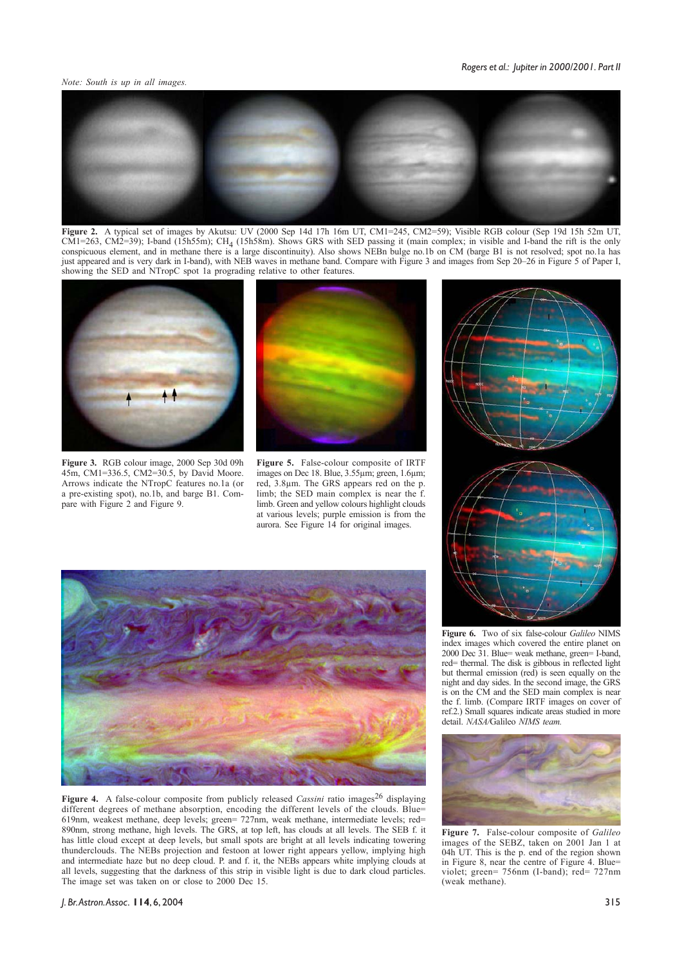*Note: South is up in all images.*



**Figure 2.** A typical set of images by Akutsu: UV (2000 Sep 14d 17h 16m UT, CM1=245, CM2=59); Visible RGB colour (Sep 19d 15h 52m UT,  $CM1=263$ ,  $CM2=39$ ); I-band (15h55m); CH<sub>4</sub> (15h58m). Shows GRS with SED passing it (main complex; in visible and I-band the rift is the only conspicuous element, and in methane there is a large discontinuity). Also shows NEBn bulge no.1b on CM (barge B1 is not resolved; spot no.1a has just appeared and is very dark in I-band), with NEB waves in methane band. Compare with Figure 3 and images from Sep 20–26 in Figure 5 of Paper I, showing the SED and NTropC spot 1a prograding relative to other features.



**Figure 3.** RGB colour image, 2000 Sep 30d 09h 45m, CM1=336.5, CM2=30.5, by David Moore. Arrows indicate the NTropC features no.1a (or a pre-existing spot), no.1b, and barge B1. Compare with Figure 2 and Figure 9.



**Figure 5.** False-colour composite of IRTF images on Dec 18. Blue, 3.55µm; green, 1.6µm; red, 3.8µm. The GRS appears red on the p. limb; the SED main complex is near the f. limb. Green and yellow colours highlight clouds at various levels; purple emission is from the aurora. See Figure 14 for original images.



**Figure 4.** A false-colour composite from publicly released *Cassini* ratio images<sup>26</sup> displaying different degrees of methane absorption, encoding the different levels of the clouds. Blue= 619nm, weakest methane, deep levels; green= 727nm, weak methane, intermediate levels; red= 890nm, strong methane, high levels. The GRS, at top left, has clouds at all levels. The SEB f. it has little cloud except at deep levels, but small spots are bright at all levels indicating towering thunderclouds. The NEBs projection and festoon at lower right appears yellow, implying high and intermediate haze but no deep cloud. P. and f. it, the NEBs appears white implying clouds at all levels, suggesting that the darkness of this strip in visible light is due to dark cloud particles. The image set was taken on or close to 2000 Dec 15.



**Figure 6.** Two of six false-colour *Galileo* NIMS index images which covered the entire planet on 2000 Dec 31. Blue= weak methane, green= I-band, red= thermal. The disk is gibbous in reflected light but thermal emission (red) is seen equally on the night and day sides. In the second image, the GRS is on the CM and the SED main complex is near the f. limb. (Compare IRTF images on cover of ref.2.) Small squares indicate areas studied in more detail. *NASA/*Galileo *NIMS team.*



**Figure 7.** False-colour composite of *Galileo* images of the SEBZ, taken on 2001 Jan 1 at 04h UT. This is the p. end of the region shown in Figure 8, near the centre of Figure 4. Blue= violet; green= 756nm (I-band); red= 727nm (weak methane).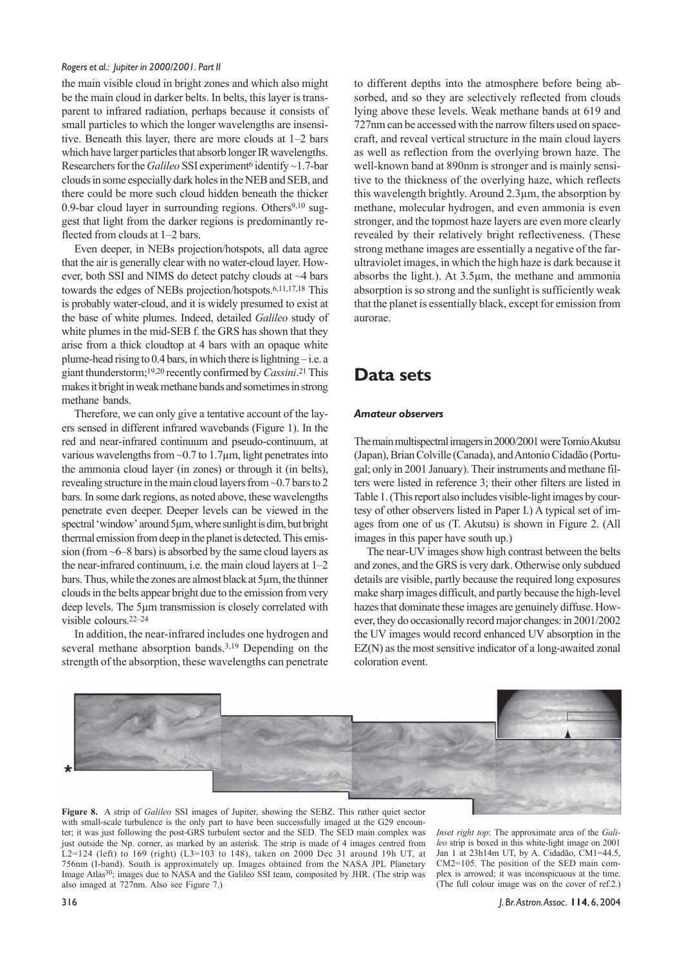the main visible cloud in bright zones and which also might be the main cloud in darker belts. In belts, this layer is transparent to infrared radiation, perhaps because it consists of small particles to which the longer wavelengths are insensitive. Beneath this layer, there are more clouds at 1–2 bars which have larger particles that absorb longer IR wavelengths. Researchers for the *Galileo* SSI experiment<sup>6</sup> identify ~1.7-bar clouds in some especially dark holes in the NEB and SEB, and there could be more such cloud hidden beneath the thicker 0.9-bar cloud layer in surrounding regions. Others<sup>9,10</sup> suggest that light from the darker regions is predominantly reflected from clouds at 1–2 bars.

Even deeper, in NEBs projection/hotspots, all data agree that the air is generally clear with no water-cloud layer. However, both SSI and NIMS do detect patchy clouds at ~4 bars towards the edges of NEBs projection/hotspots.6,11,17,18 This is probably water-cloud, and it is widely presumed to exist at the base of white plumes. Indeed, detailed *Galileo* study of white plumes in the mid-SEB f. the GRS has shown that they arise from a thick cloudtop at 4 bars with an opaque white plume-head rising to  $0.4$  bars, in which there is lightning – i.e. a giant thunderstorm;19,20 recently confirmed by *Cassini*. 21 This makes it bright in weak methane bands and sometimes in strong methane bands.

Therefore, we can only give a tentative account of the layers sensed in different infrared wavebands (Figure 1). In the red and near-infrared continuum and pseudo-continuum, at various wavelengths from  $\sim$ 0.7 to 1.7 $\mu$ m, light penetrates into the ammonia cloud layer (in zones) or through it (in belts), revealing structure in the main cloud layers from ~0.7 bars to 2 bars. In some dark regions, as noted above, these wavelengths penetrate even deeper. Deeper levels can be viewed in the spectral 'window' around 5µm, where sunlight is dim, but bright thermal emission from deep in the planet is detected. This emission (from ~6–8 bars) is absorbed by the same cloud layers as the near-infrared continuum, i.e. the main cloud layers at 1–2 bars. Thus, while the zones are almost black at 5µm, the thinner clouds in the belts appear bright due to the emission from very deep levels. The 5µm transmission is closely correlated with visible colours.22–24

In addition, the near-infrared includes one hydrogen and several methane absorption bands.<sup>3,19</sup> Depending on the strength of the absorption, these wavelengths can penetrate to different depths into the atmosphere before being absorbed, and so they are selectively reflected from clouds lying above these levels. Weak methane bands at 619 and 727nm can be accessed with the narrow filters used on spacecraft, and reveal vertical structure in the main cloud layers as well as reflection from the overlying brown haze. The well-known band at 890nm is stronger and is mainly sensitive to the thickness of the overlying haze, which reflects this wavelength brightly. Around 2.3µm, the absorption by methane, molecular hydrogen, and even ammonia is even stronger, and the topmost haze layers are even more clearly revealed by their relatively bright reflectiveness. (These strong methane images are essentially a negative of the farultraviolet images, in which the high haze is dark because it absorbs the light.). At 3.5µm, the methane and ammonia absorption is so strong and the sunlight is sufficiently weak that the planet is essentially black, except for emission from aurorae.

# **Data sets**

#### *Amateur observers*

The main multispectral imagers in 2000/2001 were Tomio Akutsu (Japan), Brian Colville (Canada), and Antonio Cidadão (Portugal; only in 2001 January). Their instruments and methane filters were listed in reference 3; their other filters are listed in Table 1. (This report also includes visible-light images by courtesy of other observers listed in Paper I.) A typical set of images from one of us (T. Akutsu) is shown in Figure 2. (All images in this paper have south up.)

The near-UV images show high contrast between the belts and zones, and the GRS is very dark. Otherwise only subdued details are visible, partly because the required long exposures make sharp images difficult, and partly because the high-level hazes that dominate these images are genuinely diffuse. However, they do occasionally record major changes: in 2001/2002 the UV images would record enhanced UV absorption in the EZ(N) as the most sensitive indicator of a long-awaited zonal coloration event.



**Figure 8.** A strip of *Galileo* SSI images of Jupiter, showing the SEBZ. This rather quiet sector with small-scale turbulence is the only part to have been successfully imaged at the G29 encounter; it was just following the post-GRS turbulent sector and the SED. The SED main complex was just outside the Np. corner, as marked by an asterisk. The strip is made of 4 images centred from L2=124 (left) to 169 (right) (L3=103 to 148), taken on 2000 Dec 31 around 19h UT, at 756nm (I-band). South is approximately up. Images obtained from the NASA JPL Planetary Image Atlas30; images due to NASA and the Galileo SSI team, composited by JHR. (The strip was also imaged at 727nm. Also see Figure 7.)

*Inset right top*: The approximate area of the *Galileo* strip is boxed in this white-light image on 2001 Jan 1 at 23h14m UT, by A. Cidadão, CM1=44.5, CM2=105. The position of the SED main complex is arrowed; it was inconspicuous at the time. (The full colour image was on the cover of ref.2.)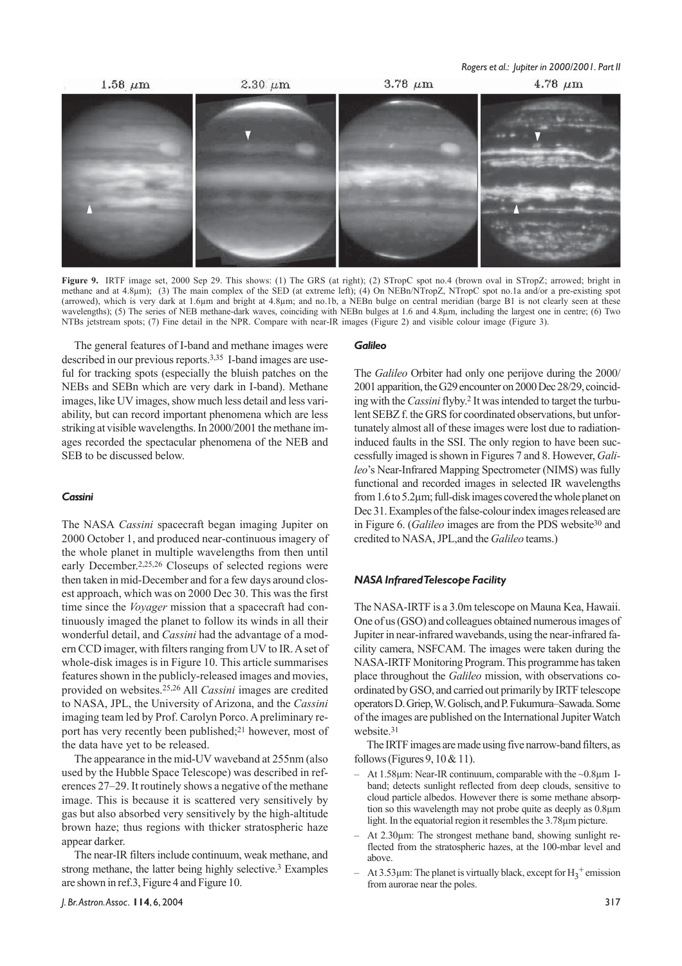

**Figure 9.** IRTF image set, 2000 Sep 29. This shows: (1) The GRS (at right); (2) STropC spot no.4 (brown oval in STropZ; arrowed; bright in methane and at 4.8µm); (3) The main complex of the SED (at extreme left); (4) On NEBn/NTropZ, NTropC spot no.1a and/or a pre-existing spot (arrowed), which is very dark at 1.6µm and bright at 4.8µm; and no.1b, a NEBn bulge on central meridian (barge B1 is not clearly seen at these wavelengths); (5) The series of NEB methane-dark waves, coinciding with NEBn bulges at 1.6 and 4.8µm, including the largest one in centre; (6) Two NTBs jetstream spots; (7) Fine detail in the NPR. Compare with near-IR images (Figure 2) and visible colour image (Figure 3).

The general features of I-band and methane images were described in our previous reports.3,35 I-band images are useful for tracking spots (especially the bluish patches on the NEBs and SEBn which are very dark in I-band). Methane images, like UV images, show much less detail and less variability, but can record important phenomena which are less striking at visible wavelengths. In 2000/2001 the methane images recorded the spectacular phenomena of the NEB and SEB to be discussed below.

#### *Cassini*

The NASA *Cassini* spacecraft began imaging Jupiter on 2000 October 1, and produced near-continuous imagery of the whole planet in multiple wavelengths from then until early December.2,25,26 Closeups of selected regions were then taken in mid-December and for a few days around closest approach, which was on 2000 Dec 30. This was the first time since the *Voyager* mission that a spacecraft had continuously imaged the planet to follow its winds in all their wonderful detail, and *Cassini* had the advantage of a modern CCD imager, with filters ranging from UV to IR. A set of whole-disk images is in Figure 10. This article summarises features shown in the publicly-released images and movies, provided on websites.25,26 All *Cassini* images are credited to NASA, JPL, the University of Arizona, and the *Cassini* imaging team led by Prof. Carolyn Porco. A preliminary report has very recently been published;21 however, most of the data have yet to be released.

The appearance in the mid-UV waveband at 255nm (also used by the Hubble Space Telescope) was described in references 27–29. It routinely shows a negative of the methane image. This is because it is scattered very sensitively by gas but also absorbed very sensitively by the high-altitude brown haze; thus regions with thicker stratospheric haze appear darker.

The near-IR filters include continuum, weak methane, and strong methane, the latter being highly selective.3 Examples are shown in ref.3, Figure 4 and Figure 10.

#### *Galileo*

The *Galileo* Orbiter had only one perijove during the 2000/ 2001 apparition, the G29 encounter on 2000 Dec 28/29, coinciding with the *Cassini* flyby.2 It was intended to target the turbulent SEBZ f. the GRS for coordinated observations, but unfortunately almost all of these images were lost due to radiationinduced faults in the SSI. The only region to have been successfully imaged is shown in Figures 7 and 8. However, *Galileo*'s Near-Infrared Mapping Spectrometer (NIMS) was fully functional and recorded images in selected IR wavelengths from 1.6 to 5.2µm; full-disk images covered the whole planet on Dec 31. Examples of the false-colour index images released are in Figure 6. (*Galileo* images are from the PDS website30 and credited to NASA, JPL,and the *Galileo* teams.)

#### *NASA Infrared Telescope Facility*

The NASA-IRTF is a 3.0m telescope on Mauna Kea, Hawaii. One of us (GSO) and colleagues obtained numerous images of Jupiter in near-infrared wavebands, using the near-infrared facility camera, NSFCAM. The images were taken during the NASA-IRTF Monitoring Program. This programme has taken place throughout the *Galileo* mission, with observations coordinated by GSO, and carried out primarily by IRTF telescope operators D. Griep, W. Golisch, and P. Fukumura–Sawada. Some of the images are published on the International Jupiter Watch website.31

The IRTF images are made using five narrow-band filters, as follows (Figures 9,  $10 \& 11$ ).

- At 1.58 $\mu$ m: Near-IR continuum, comparable with the  $\sim$ 0.8 $\mu$ m Iband; detects sunlight reflected from deep clouds, sensitive to cloud particle albedos. However there is some methane absorption so this wavelength may not probe quite as deeply as 0.8µm light. In the equatorial region it resembles the 3.78µm picture.
- At 2.30 $\mu$ m: The strongest methane band, showing sunlight reflected from the stratospheric hazes, at the 100-mbar level and above.
- $-$  At 3.53 µm: The planet is virtually black, except for H<sub>3</sub><sup>+</sup> emission from aurorae near the poles.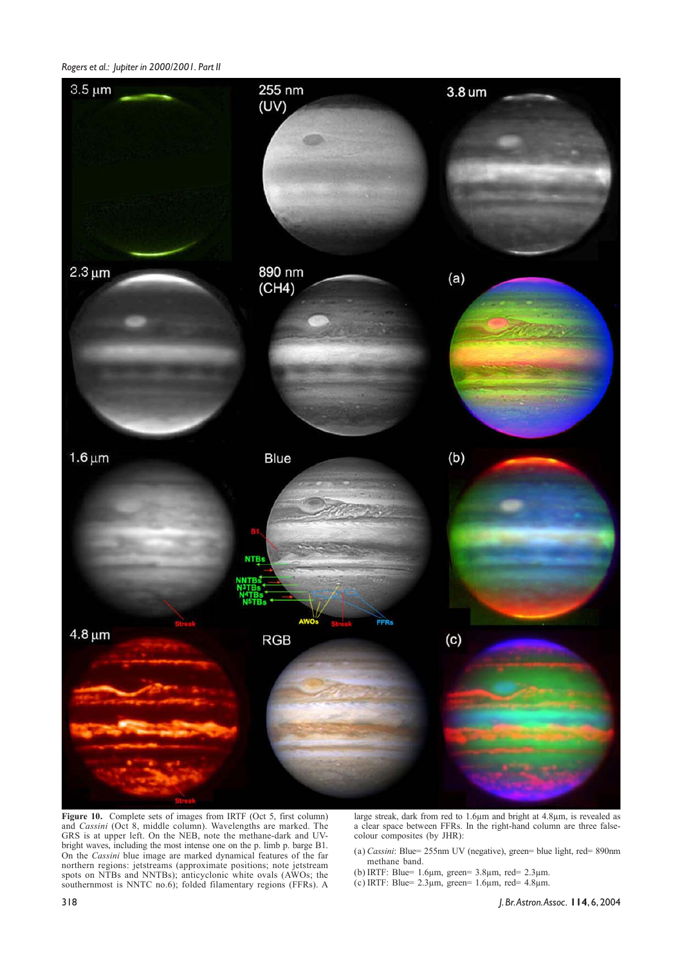

**Figure 10.** Complete sets of images from IRTF (Oct 5, first column) and *Cassini* (Oct 8, middle column). Wavelengths are marked. The GRS is at upper left. On the NEB, note the methane-dark and UVbright waves, including the most intense one on the p. limb p. barge B1. On the *Cassini* blue image are marked dynamical features of the far northern regions: jetstreams (approximate positions; note jetstream spots on NTBs and NNTBs); anticyclonic white ovals (AWOs; the southernmost is NNTC no.6); folded filamentary regions (FFRs). A

large streak, dark from red to 1.6µm and bright at 4.8µm, is revealed as a clear space between FFRs. In the right-hand column are three falsecolour composites (by JHR):

- (a) *Cassini*: Blue= 255nm UV (negative), green= blue light, red= 890nm methane band.
- (b) IRTF: Blue=  $1.6\mu$ m, green=  $3.8\mu$ m, red=  $2.3\mu$ m.
- (c) IRTF: Blue=  $2.3\mu$ m, green= 1.6 $\mu$ m, red= 4.8 $\mu$ m.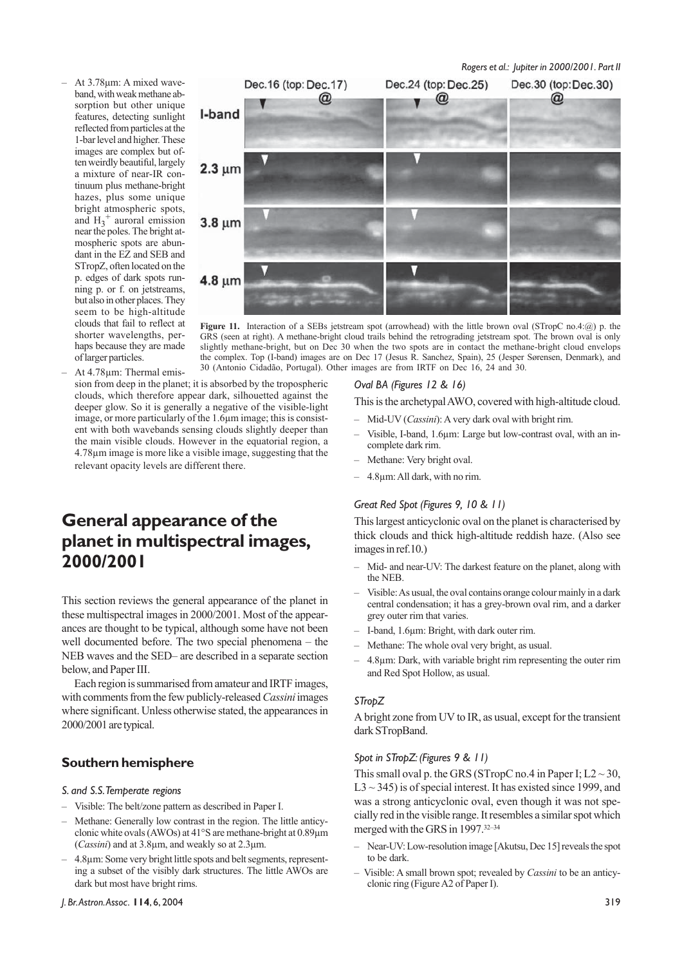– At 3.78µm: A mixed waveband, with weak methane absorption but other unique features, detecting sunlight reflected from particles at the 1-bar level and higher. These images are complex but often weirdly beautiful, largely a mixture of near-IR continuum plus methane-bright hazes, plus some unique bright atmospheric spots, and  $H_3$ <sup>+</sup> auroral emission near the poles. The bright atmospheric spots are abundant in the EZ and SEB and STropZ, often located on the p. edges of dark spots running p. or f. on jetstreams, but also in other places. They seem to be high-altitude clouds that fail to reflect at shorter wavelengths, perhaps because they are made of larger particles.



**Figure 11.** Interaction of a SEBs jetstream spot (arrowhead) with the little brown oval (STropC no.4:@) p. the GRS (seen at right). A methane-bright cloud trails behind the retrograding jetstream spot. The brown oval is only slightly methane-bright, but on Dec 30 when the two spots are in contact the methane-bright cloud envelops the complex. Top (I-band) images are on Dec 17 (Jesus R. Sanchez, Spain), 25 (Jesper Sørensen, Denmark), and 30 (Antonio Cidadão, Portugal). Other images are from IRTF on Dec 16, 24 and 30.

– At 4.78µm: Thermal emission from deep in the planet; it is absorbed by the tropospheric clouds, which therefore appear dark, silhouetted against the deeper glow. So it is generally a negative of the visible-light image, or more particularly of the 1.6µm image; this is consistent with both wavebands sensing clouds slightly deeper than the main visible clouds. However in the equatorial region, a 4.78µm image is more like a visible image, suggesting that the relevant opacity levels are different there.

# **General appearance of the planet in multispectral images, 2000/2001**

This section reviews the general appearance of the planet in these multispectral images in 2000/2001. Most of the appearances are thought to be typical, although some have not been well documented before. The two special phenomena – the NEB waves and the SED– are described in a separate section below, and Paper III.

Each region is summarised from amateur and IRTF images, with comments from the few publicly-released *Cassini* images where significant. Unless otherwise stated, the appearances in 2000/2001 are typical.

## **Southern hemisphere**

#### *S. and S.S. Temperate regions*

- Visible: The belt/zone pattern as described in Paper I.
- Methane: Generally low contrast in the region. The little anticyclonic white ovals (AWOs) at 41°S are methane-bright at 0.89µm (*Cassini*) and at 3.8µm, and weakly so at 2.3µm.
- 4.8µm: Some very bright little spots and belt segments, representing a subset of the visibly dark structures. The little AWOs are dark but most have bright rims.

#### *Oval BA (Figures 12 & 16)*

This is the archetypal AWO, covered with high-altitude cloud.

- Mid-UV (*Cassini*): A very dark oval with bright rim.
- Visible, I-band, 1.6µm: Large but low-contrast oval, with an incomplete dark rim.
- Methane: Very bright oval.
- 4.8µm: All dark, with no rim.

#### *Great Red Spot (Figures 9, 10 & 11)*

This largest anticyclonic oval on the planet is characterised by thick clouds and thick high-altitude reddish haze. (Also see images in ref.10.)

- Mid- and near-UV: The darkest feature on the planet, along with the NEB.
- Visible: As usual, the oval contains orange colour mainly in a dark central condensation; it has a grey-brown oval rim, and a darker grey outer rim that varies.
- I-band, 1.6µm: Bright, with dark outer rim.
- Methane: The whole oval very bright, as usual.
- 4.8µm: Dark, with variable bright rim representing the outer rim and Red Spot Hollow, as usual.

#### *STropZ*

A bright zone from UV to IR, as usual, except for the transient dark STropBand.

#### *Spot in STropZ: (Figures 9 & 11)*

This small oval p. the GRS (STropC no.4 in Paper I;  $L2 \sim 30$ ,  $L3 \sim 345$ ) is of special interest. It has existed since 1999, and was a strong anticyclonic oval, even though it was not specially red in the visible range. It resembles a similar spot which merged with the GRS in 1997.32–34

- Near-UV: Low-resolution image [Akutsu, Dec 15] reveals the spot to be dark.
- Visible: A small brown spot; revealed by *Cassini* to be an anticyclonic ring (Figure A2 of Paper I).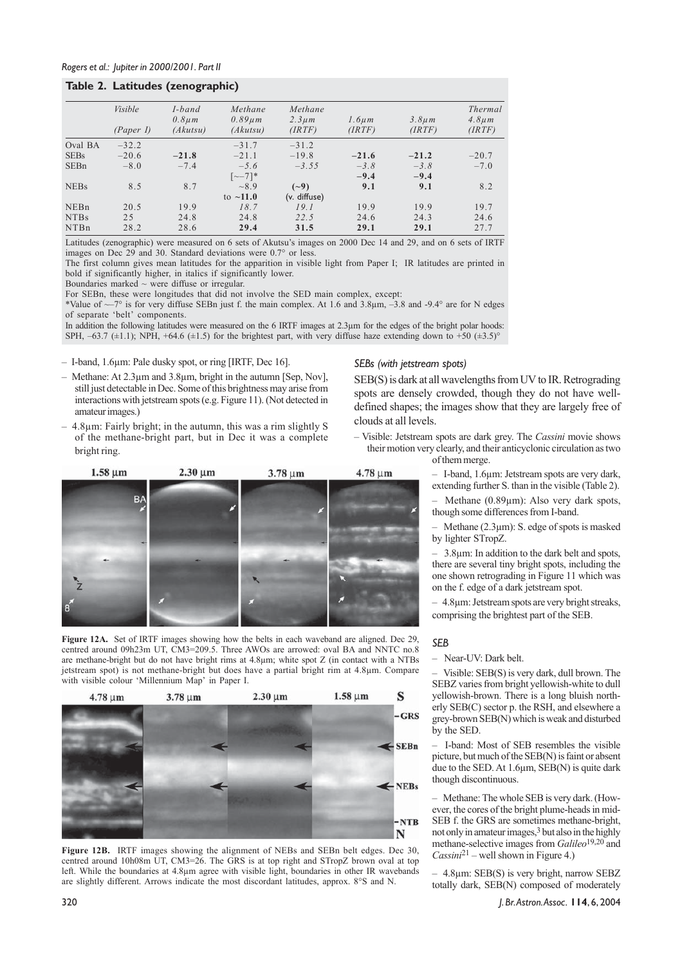### **Table 2. Latitudes (zenographic)**

|             |           | $\bullet$             |                         |                        |             |             |                        |
|-------------|-----------|-----------------------|-------------------------|------------------------|-------------|-------------|------------------------|
|             | Visible   | I-band<br>$0.8 \mu m$ | Methane<br>$0.89 \mu m$ | Methane<br>$2.3 \mu m$ | $1.6 \mu m$ | $3.8 \mu m$ | Thermal<br>$4.8 \mu m$ |
|             | (Paper I) | (Akutsu)              | (Akutsu)                | (RTF)                  | (IRTF)      | (RTF)       | (RTF)                  |
| Oval BA     | $-32.2$   |                       | $-31.7$                 | $-31.2$                |             |             |                        |
| <b>SEBs</b> | $-20.6$   | $-21.8$               | $-21.1$                 | $-19.8$                | $-21.6$     | $-21.2$     | $-20.7$                |
| <b>SEBn</b> | $-8.0$    | $-7.4$                | $-5.6$                  | $-3.55$                | $-3.8$      | $-3.8$      | $-7.0$                 |
|             |           |                       | $\lceil -7 \rceil$ *    |                        | $-9.4$      | $-9.4$      |                        |
| <b>NEBs</b> | 8.5       | 8.7                   | ~18.9                   | $(-9)$                 | 9.1         | 9.1         | 8.2                    |
|             |           |                       | to $\sim$ 11.0          | (v. diffuse)           |             |             |                        |
| NEBn        | 20.5      | 19.9                  | 18.7                    | 19.1                   | 19.9        | 19.9        | 19.7                   |
| <b>NTBs</b> | 2.5       | 24.8                  | 24.8                    | 22.5                   | 24.6        | 24.3        | 24.6                   |
| <b>NTBn</b> | 28.2      | 28.6                  | 29.4                    | 31.5                   | 29.1        | 29.1        | 27.7                   |

Latitudes (zenographic) were measured on 6 sets of Akutsu's images on 2000 Dec 14 and 29, and on 6 sets of IRTF images on Dec 29 and 30. Standard deviations were 0.7° or less.

The first column gives mean latitudes for the apparition in visible light from Paper I; IR latitudes are printed in bold if significantly higher, in italics if significantly lower.

Boundaries marked  $\sim$  were diffuse or irregular.

For SEBn, these were longitudes that did not involve the SED main complex, except:

\*Value of  $\sim$ –7° is for very diffuse SEBn just f. the main complex. At 1.6 and 3.8 $\mu$ m, –3.8 and -9.4° are for N edges of separate 'belt' components.

In addition the following latitudes were measured on the 6 IRTF images at 2.3µm for the edges of the bright polar hoods: SPH,  $-63.7$  ( $\pm$ 1.1); NPH, +64.6 ( $\pm$ 1.5) for the brightest part, with very diffuse haze extending down to +50 ( $\pm$ 3.5)°

– I-band, 1.6µm: Pale dusky spot, or ring [IRTF, Dec 16].

- Methane: At 2.3µm and 3.8µm, bright in the autumn [Sep, Nov], still just detectable in Dec. Some of this brightness may arise from interactions with jetstream spots (e.g. Figure 11). (Not detected in amateur images.)
- 4.8µm: Fairly bright; in the autumn, this was a rim slightly S of the methane-bright part, but in Dec it was a complete bright ring.



**Figure 12A.** Set of IRTF images showing how the belts in each waveband are aligned. Dec 29, centred around 09h23m UT, CM3=209.5. Three AWOs are arrowed: oval BA and NNTC no.8 are methane-bright but do not have bright rims at 4.8µm; white spot Z (in contact with a NTBs jetstream spot) is not methane-bright but does have a partial bright rim at 4.8µm. Compare with visible colour 'Millennium Map' in Paper I.



**Figure 12B.** IRTF images showing the alignment of NEBs and SEBn belt edges. Dec 30, centred around 10h08m UT, CM3=26. The GRS is at top right and STropZ brown oval at top left. While the boundaries at 4.8µm agree with visible light, boundaries in other IR wavebands are slightly different. Arrows indicate the most discordant latitudes, approx. 8°S and N.

*SEBs (with jetstream spots)*

SEB(S) is dark at all wavelengths from UV to IR. Retrograding spots are densely crowded, though they do not have welldefined shapes; the images show that they are largely free of clouds at all levels.

- Visible: Jetstream spots are dark grey. The *Cassini* movie shows their motion very clearly, and their anticyclonic circulation as two of them merge.
	- I-band, 1.6µm: Jetstream spots are very dark, extending further S. than in the visible (Table 2).

– Methane (0.89µm): Also very dark spots, though some differences from I-band.

Methane  $(2.3\mu m)$ : S. edge of spots is masked by lighter STropZ.

– 3.8µm: In addition to the dark belt and spots, there are several tiny bright spots, including the one shown retrograding in Figure 11 which was on the f. edge of a dark jetstream spot.

– 4.8µm: Jetstream spots are very bright streaks, comprising the brightest part of the SEB.

#### *SEB*

– Near-UV: Dark belt.

– Visible: SEB(S) is very dark, dull brown. The SEBZ varies from bright yellowish-white to dull yellowish-brown. There is a long bluish northerly SEB(C) sector p. the RSH, and elsewhere a grey-brown SEB(N) which is weak and disturbed by the SED.

– I-band: Most of SEB resembles the visible picture, but much of the SEB(N) is faint or absent due to the SED. At 1.6µm, SEB(N) is quite dark though discontinuous.

– Methane: The whole SEB is very dark. (However, the cores of the bright plume-heads in mid-SEB f. the GRS are sometimes methane-bright, not only in amateur images,3 but also in the highly methane-selective images from *Galileo*19,20 and *Cassini*21 – well shown in Figure 4.)

– 4.8µm: SEB(S) is very bright, narrow SEBZ totally dark, SEB(N) composed of moderately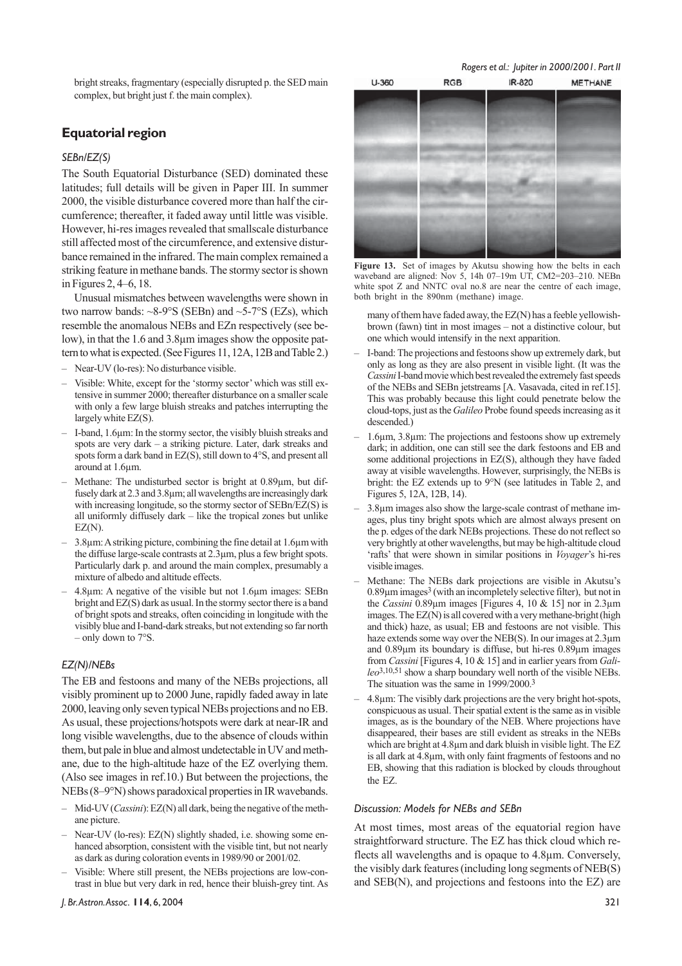bright streaks, fragmentary (especially disrupted p. the SED main complex, but bright just f. the main complex).

### **Equatorial region**

#### *SEBn/EZ(S)*

The South Equatorial Disturbance (SED) dominated these latitudes; full details will be given in Paper III. In summer 2000, the visible disturbance covered more than half the circumference; thereafter, it faded away until little was visible. However, hi-res images revealed that smallscale disturbance still affected most of the circumference, and extensive disturbance remained in the infrared. The main complex remained a striking feature in methane bands. The stormy sector is shown in Figures 2, 4–6, 18.

Unusual mismatches between wavelengths were shown in two narrow bands:  $\sim8-9^{\circ}S$  (SEBn) and  $\sim5-7^{\circ}S$  (EZs), which resemble the anomalous NEBs and EZn respectively (see below), in that the 1.6 and 3.8µm images show the opposite pattern to what is expected. (See Figures 11, 12A, 12B and Table 2.)

- Near-UV (lo-res): No disturbance visible.
- Visible: White, except for the 'stormy sector' which was still extensive in summer 2000; thereafter disturbance on a smaller scale with only a few large bluish streaks and patches interrupting the largely white EZ(S).
- I-band, 1.6µm: In the stormy sector, the visibly bluish streaks and spots are very dark – a striking picture. Later, dark streaks and spots form a dark band in EZ(S), still down to 4°S, and present all around at 1.6µm.
- Methane: The undisturbed sector is bright at 0.89µm, but diffusely dark at 2.3 and 3.8µm; all wavelengths are increasingly dark with increasing longitude, so the stormy sector of SEBn/EZ(S) is all uniformly diffusely dark – like the tropical zones but unlike EZ(N).
- 3.8µm: A striking picture, combining the fine detail at 1.6µm with the diffuse large-scale contrasts at 2.3µm, plus a few bright spots. Particularly dark p. and around the main complex, presumably a mixture of albedo and altitude effects.
- 4.8µm: A negative of the visible but not 1.6µm images: SEBn bright and EZ(S) dark as usual. In the stormy sector there is a band of bright spots and streaks, often coinciding in longitude with the visibly blue and I-band-dark streaks, but not extending so far north – only down to 7°S.

#### *EZ(N)/NEBs*

The EB and festoons and many of the NEBs projections, all visibly prominent up to 2000 June, rapidly faded away in late 2000, leaving only seven typical NEBs projections and no EB. As usual, these projections/hotspots were dark at near-IR and long visible wavelengths, due to the absence of clouds within them, but pale in blue and almost undetectable in UV and methane, due to the high-altitude haze of the EZ overlying them. (Also see images in ref.10.) But between the projections, the NEBs (8–9°N) shows paradoxical properties in IR wavebands.

- Mid-UV (*Cassini*): EZ(N) all dark, being the negative of the methane picture.
- Near-UV (lo-res): EZ(N) slightly shaded, i.e. showing some enhanced absorption, consistent with the visible tint, but not nearly as dark as during coloration events in 1989/90 or 2001/02.
- Visible: Where still present, the NEBs projections are low-contrast in blue but very dark in red, hence their bluish-grey tint. As



*Rogers et al.: Jupiter in 2000/2001. Part II*



 $U - 360$ 

waveband are aligned: Nov 5, 14h 07–19m UT, CM2=203–210. NEBn white spot Z and NNTC oval no.8 are near the centre of each image, both bright in the 890nm (methane) image.

many of them have faded away, the EZ(N) has a feeble yellowishbrown (fawn) tint in most images – not a distinctive colour, but one which would intensify in the next apparition.

- I-band: The projections and festoons show up extremely dark, but only as long as they are also present in visible light. (It was the *Cassini* I-band movie which best revealed the extremely fast speeds of the NEBs and SEBn jetstreams [A. Vasavada, cited in ref.15]. This was probably because this light could penetrate below the cloud-tops, just as the *Galileo* Probe found speeds increasing as it descended.)
- 1.6µm, 3.8µm: The projections and festoons show up extremely dark; in addition, one can still see the dark festoons and EB and some additional projections in EZ(S), although they have faded away at visible wavelengths. However, surprisingly, the NEBs is bright: the EZ extends up to 9°N (see latitudes in Table 2, and Figures 5, 12A, 12B, 14).
- 3.8µm images also show the large-scale contrast of methane images, plus tiny bright spots which are almost always present on the p. edges of the dark NEBs projections. These do not reflect so very brightly at other wavelengths, but may be high-altitude cloud 'rafts' that were shown in similar positions in *Voyager*'s hi-res visible images.
- Methane: The NEBs dark projections are visible in Akutsu's 0.89µm images3 (with an incompletely selective filter), but not in the *Cassini* 0.89µm images [Figures 4, 10 & 15] nor in 2.3µm images. The EZ(N) is all covered with a very methane-bright (high and thick) haze, as usual; EB and festoons are not visible. This haze extends some way over the NEB(S). In our images at  $2.3\mu$ m and 0.89µm its boundary is diffuse, but hi-res 0.89µm images from *Cassini* [Figures 4, 10 & 15] and in earlier years from *Galileo*3,10,51 show a sharp boundary well north of the visible NEBs. The situation was the same in 1999/2000.3
- 4.8µm: The visibly dark projections are the very bright hot-spots, conspicuous as usual. Their spatial extent is the same as in visible images, as is the boundary of the NEB. Where projections have disappeared, their bases are still evident as streaks in the NEBs which are bright at 4.8µm and dark bluish in visible light. The EZ is all dark at 4.8µm, with only faint fragments of festoons and no EB, showing that this radiation is blocked by clouds throughout the EZ.

#### *Discussion: Models for NEBs and SEBn*

At most times, most areas of the equatorial region have straightforward structure. The EZ has thick cloud which reflects all wavelengths and is opaque to 4.8µm. Conversely, the visibly dark features (including long segments of NEB(S) and SEB(N), and projections and festoons into the EZ) are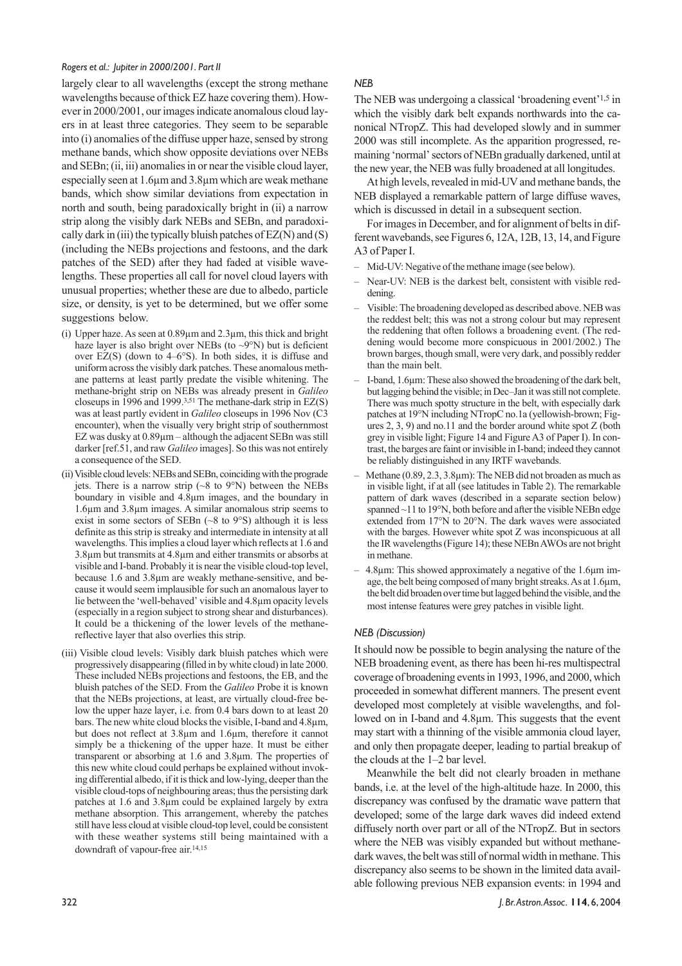largely clear to all wavelengths (except the strong methane wavelengths because of thick EZ haze covering them). However in 2000/2001, our images indicate anomalous cloud layers in at least three categories. They seem to be separable into (i) anomalies of the diffuse upper haze, sensed by strong methane bands, which show opposite deviations over NEBs and SEBn; (ii, iii) anomalies in or near the visible cloud layer, especially seen at 1.6µm and 3.8µm which are weak methane bands, which show similar deviations from expectation in north and south, being paradoxically bright in (ii) a narrow strip along the visibly dark NEBs and SEBn, and paradoxically dark in (iii) the typically bluish patches of  $EZ(N)$  and  $(S)$ (including the NEBs projections and festoons, and the dark patches of the SED) after they had faded at visible wavelengths. These properties all call for novel cloud layers with unusual properties; whether these are due to albedo, particle size, or density, is yet to be determined, but we offer some suggestions below.

- (i) Upper haze. As seen at 0.89µm and 2.3µm, this thick and bright haze layer is also bright over NEBs (to  $\sim 9^{\circ}$ N) but is deficient over  $EZ(S)$  (down to  $4-6^{\circ}S$ ). In both sides, it is diffuse and uniform across the visibly dark patches. These anomalous methane patterns at least partly predate the visible whitening. The methane-bright strip on NEBs was already present in *Galileo* closeups in 1996 and 1999.3,51 The methane-dark strip in EZ(S) was at least partly evident in *Galileo* closeups in 1996 Nov (C3 encounter), when the visually very bright strip of southernmost EZ was dusky at 0.89µm – although the adjacent SEBn was still darker [ref.51, and raw *Galileo* images]. So this was not entirely a consequence of the SED.
- (ii) Visible cloud levels: NEBs and SEBn, coinciding with the prograde jets. There is a narrow strip (~8 to 9°N) between the NEBs boundary in visible and 4.8µm images, and the boundary in 1.6µm and 3.8µm images. A similar anomalous strip seems to exist in some sectors of SEBn  $({\sim}8$  to  $9^{\circ}S)$  although it is less definite as this strip is streaky and intermediate in intensity at all wavelengths. This implies a cloud layer which reflects at 1.6 and 3.8µm but transmits at 4.8µm and either transmits or absorbs at visible and I-band. Probably it is near the visible cloud-top level, because 1.6 and 3.8µm are weakly methane-sensitive, and because it would seem implausible for such an anomalous layer to lie between the 'well-behaved' visible and 4.8µm opacity levels (especially in a region subject to strong shear and disturbances). It could be a thickening of the lower levels of the methanereflective layer that also overlies this strip.
- (iii) Visible cloud levels: Visibly dark bluish patches which were progressively disappearing (filled in by white cloud) in late 2000. These included NEBs projections and festoons, the EB, and the bluish patches of the SED. From the *Galileo* Probe it is known that the NEBs projections, at least, are virtually cloud-free below the upper haze layer, i.e. from 0.4 bars down to at least 20 bars. The new white cloud blocks the visible, I-band and 4.8µm, but does not reflect at 3.8µm and 1.6µm, therefore it cannot simply be a thickening of the upper haze. It must be either transparent or absorbing at 1.6 and 3.8µm. The properties of this new white cloud could perhaps be explained without invoking differential albedo, if it is thick and low-lying, deeper than the visible cloud-tops of neighbouring areas; thus the persisting dark patches at 1.6 and 3.8µm could be explained largely by extra methane absorption. This arrangement, whereby the patches still have less cloud at visible cloud-top level, could be consistent with these weather systems still being maintained with a downdraft of vapour-free air.14,15

#### *NEB*

The NEB was undergoing a classical 'broadening event'1,5 in which the visibly dark belt expands northwards into the canonical NTropZ. This had developed slowly and in summer 2000 was still incomplete. As the apparition progressed, remaining 'normal' sectors of NEBn gradually darkened, until at the new year, the NEB was fully broadened at all longitudes.

At high levels, revealed in mid-UV and methane bands, the NEB displayed a remarkable pattern of large diffuse waves, which is discussed in detail in a subsequent section.

For images in December, and for alignment of belts in different wavebands, see Figures 6, 12A, 12B, 13, 14, and Figure A3 of Paper I.

- Mid-UV: Negative of the methane image (see below).
- Near-UV: NEB is the darkest belt, consistent with visible reddening.
- Visible: The broadening developed as described above. NEB was the reddest belt; this was not a strong colour but may represent the reddening that often follows a broadening event. (The reddening would become more conspicuous in 2001/2002.) The brown barges, though small, were very dark, and possibly redder than the main belt.
- I-band, 1.6µm: These also showed the broadening of the dark belt, but lagging behind the visible; in Dec–Jan it was still not complete. There was much spotty structure in the belt, with especially dark patches at 19°N including NTropC no.1a (yellowish-brown; Figures 2, 3, 9) and no.11 and the border around white spot Z (both grey in visible light; Figure 14 and Figure A3 of Paper I). In contrast, the barges are faint or invisible in I-band; indeed they cannot be reliably distinguished in any IRTF wavebands.
- Methane (0.89, 2.3, 3.8µm): The NEB did not broaden as much as in visible light, if at all (see latitudes in Table 2). The remarkable pattern of dark waves (described in a separate section below) spanned  $\sim$ 11 to 19°N, both before and after the visible NEBn edge extended from 17°N to 20°N. The dark waves were associated with the barges. However white spot Z was inconspicuous at all the IR wavelengths (Figure 14); these NEBn AWOs are not bright in methane.
- 4.8µm: This showed approximately a negative of the 1.6µm image, the belt being composed of many bright streaks. As at 1.6µm, the belt did broaden over time but lagged behind the visible, and the most intense features were grey patches in visible light.

#### *NEB (Discussion)*

It should now be possible to begin analysing the nature of the NEB broadening event, as there has been hi-res multispectral coverage of broadening events in 1993, 1996, and 2000, which proceeded in somewhat different manners. The present event developed most completely at visible wavelengths, and followed on in I-band and 4.8µm. This suggests that the event may start with a thinning of the visible ammonia cloud layer, and only then propagate deeper, leading to partial breakup of the clouds at the 1–2 bar level.

Meanwhile the belt did not clearly broaden in methane bands, i.e. at the level of the high-altitude haze. In 2000, this discrepancy was confused by the dramatic wave pattern that developed; some of the large dark waves did indeed extend diffusely north over part or all of the NTropZ. But in sectors where the NEB was visibly expanded but without methanedark waves, the belt was still of normal width in methane. This discrepancy also seems to be shown in the limited data available following previous NEB expansion events: in 1994 and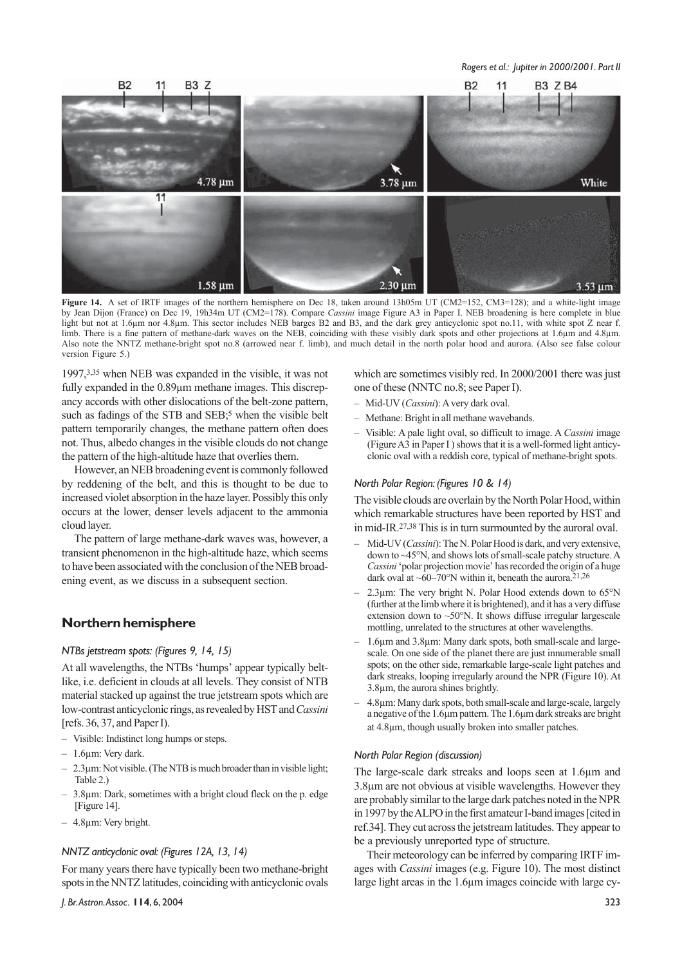

**Figure 14.** A set of IRTF images of the northern hemisphere on Dec 18, taken around 13h05m UT (CM2=152, CM3=128); and a white-light image by Jean Dijon (France) on Dec 19, 19h34m UT (CM2=178). Compare *Cassini* image Figure A3 in Paper I. NEB broadening is here complete in blue light but not at 1.6µm nor 4.8µm. This sector includes NEB barges B2 and B3, and the dark grey anticyclonic spot no.11, with white spot Z near f. limb. There is a fine pattern of methane-dark waves on the NEB, coinciding with these visibly dark spots and other projections at 1.6µm and 4.8µm. Also note the NNTZ methane-bright spot no.8 (arrowed near f. limb), and much detail in the north polar hood and aurora. (Also see false colour version Figure 5.)

1997,3,35 when NEB was expanded in the visible, it was not fully expanded in the 0.89µm methane images. This discrepancy accords with other dislocations of the belt-zone pattern, such as fadings of the STB and SEB;<sup>5</sup> when the visible belt pattern temporarily changes, the methane pattern often does not. Thus, albedo changes in the visible clouds do not change the pattern of the high-altitude haze that overlies them.

However, an NEB broadening event is commonly followed by reddening of the belt, and this is thought to be due to increased violet absorption in the haze layer. Possibly this only occurs at the lower, denser levels adjacent to the ammonia cloud layer.

The pattern of large methane-dark waves was, however, a transient phenomenon in the high-altitude haze, which seems to have been associated with the conclusion of the NEB broadening event, as we discuss in a subsequent section.

#### **Northern hemisphere**

#### *NTBs jetstream spots: (Figures 9, 14, 15)*

At all wavelengths, the NTBs 'humps' appear typically beltlike, i.e. deficient in clouds at all levels. They consist of NTB material stacked up against the true jetstream spots which are low-contrast anticyclonic rings, as revealed by HST and *Cassini* [refs. 36, 37, and Paper I).

- Visible: Indistinct long humps or steps.
- 1.6µm: Very dark.
- 2.3µm: Not visible. (The NTB is much broader than in visible light; Table 2.)
- 3.8µm: Dark, sometimes with a bright cloud fleck on the p. edge [Figure 14].
- 4.8µm: Very bright.

#### *NNTZ anticyclonic oval: (Figures 12A, 13, 14)*

For many years there have typically been two methane-bright spots in the NNTZ latitudes, coinciding with anticyclonic ovals

which are sometimes visibly red. In 2000/2001 there was just one of these (NNTC no.8; see Paper I).

- Mid-UV (*Cassini*): A very dark oval.
- Methane: Bright in all methane wavebands.
- Visible: A pale light oval, so difficult to image. A *Cassini* image (Figure  $\overline{A3}$  in Paper I) shows that it is a well-formed light anticyclonic oval with a reddish core, typical of methane-bright spots.

#### *North Polar Region: (Figures 10 & 14)*

The visible clouds are overlain by the North Polar Hood, within which remarkable structures have been reported by HST and in mid-IR.27,38 This is in turn surmounted by the auroral oval.

- Mid-UV (*Cassini*): The N. Polar Hood is dark, and very extensive, down to ~45°N, and shows lots of small-scale patchy structure. A *Cassini* 'polar projection movie' has recorded the origin of a huge dark oval at  $~60-70^{\circ}$ N within it, beneath the aurora.<sup>21,26</sup>
- 2.3µm: The very bright N. Polar Hood extends down to 65°N (further at the limb where it is brightened), and it has a very diffuse extension down to ~50°N. It shows diffuse irregular largescale mottling, unrelated to the structures at other wavelengths.
- 1.6µm and 3.8µm: Many dark spots, both small-scale and largescale. On one side of the planet there are just innumerable small spots; on the other side, remarkable large-scale light patches and dark streaks, looping irregularly around the NPR (Figure 10). At 3.8µm, the aurora shines brightly.
- 4.8µm: Many dark spots, both small-scale and large-scale, largely a negative of the 1.6µm pattern. The 1.6µm dark streaks are bright at 4.8µm, though usually broken into smaller patches.

#### *North Polar Region (discussion)*

The large-scale dark streaks and loops seen at 1.6µm and 3.8µm are not obvious at visible wavelengths. However they are probably similar to the large dark patches noted in the NPR in 1997 by the ALPO in the first amateur I-band images [cited in ref.34]. They cut across the jetstream latitudes. They appear to be a previously unreported type of structure.

Their meteorology can be inferred by comparing IRTF images with *Cassini* images (e.g. Figure 10). The most distinct large light areas in the 1.6µm images coincide with large cy-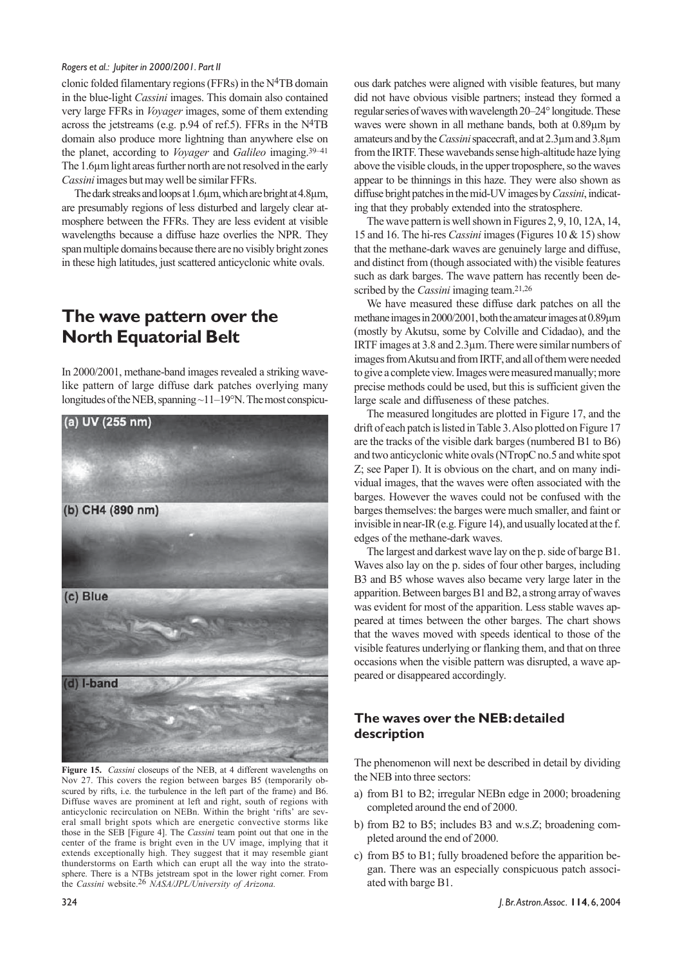clonic folded filamentary regions (FFRs) in the  $N<sup>4</sup>TB$  domain in the blue-light *Cassini* images. This domain also contained very large FFRs in *Voyager* images, some of them extending across the jetstreams (e.g. p.94 of ref.5). FFRs in the N4TB domain also produce more lightning than anywhere else on the planet, according to *Voyager* and *Galileo* imaging.39–41 The 1.6µm light areas further north are not resolved in the early *Cassini* images but may well be similar FFRs.

The dark streaks and loops at 1.6µm, which are bright at 4.8µm, are presumably regions of less disturbed and largely clear atmosphere between the FFRs. They are less evident at visible wavelengths because a diffuse haze overlies the NPR. They span multiple domains because there are no visibly bright zones in these high latitudes, just scattered anticyclonic white ovals.

# **The wave pattern over the North Equatorial Belt**

In 2000/2001, methane-band images revealed a striking wavelike pattern of large diffuse dark patches overlying many longitudes of the NEB, spanning ~11–19°N. The most conspicu-



**Figure 15.** *Cassini* closeups of the NEB, at 4 different wavelengths on Nov 27. This covers the region between barges B5 (temporarily obscured by rifts, i.e. the turbulence in the left part of the frame) and B6. Diffuse waves are prominent at left and right, south of regions with anticyclonic recirculation on NEBn. Within the bright 'rifts' are several small bright spots which are energetic convective storms like those in the SEB [Figure 4]. The *Cassini* team point out that one in the center of the frame is bright even in the UV image, implying that it extends exceptionally high. They suggest that it may resemble giant thunderstorms on Earth which can erupt all the way into the stratosphere. There is a NTBs jetstream spot in the lower right corner. From the *Cassini* website.26 *NASA/JPL/University of Arizona.*

ous dark patches were aligned with visible features, but many did not have obvious visible partners; instead they formed a regular series of waves with wavelength 20–24° longitude. These waves were shown in all methane bands, both at 0.89µm by amateurs and by the *Cassini* spacecraft, and at 2.3µm and 3.8µm from the IRTF. These wavebands sense high-altitude haze lying above the visible clouds, in the upper troposphere, so the waves appear to be thinnings in this haze. They were also shown as diffuse bright patches in the mid-UV images by *Cassini*, indicating that they probably extended into the stratosphere.

The wave pattern is well shown in Figures 2, 9, 10, 12A, 14, 15 and 16. The hi-res *Cassini* images (Figures 10 & 15) show that the methane-dark waves are genuinely large and diffuse, and distinct from (though associated with) the visible features such as dark barges. The wave pattern has recently been described by the *Cassini* imaging team.21,26

We have measured these diffuse dark patches on all the methane images in 2000/2001, both the amateur images at 0.89µm (mostly by Akutsu, some by Colville and Cidadao), and the IRTF images at 3.8 and 2.3µm. There were similar numbers of images from Akutsu and from IRTF, and all of them were needed to give a complete view. Images were measured manually; more precise methods could be used, but this is sufficient given the large scale and diffuseness of these patches.

The measured longitudes are plotted in Figure 17, and the drift of each patch is listed in Table 3. Also plotted on Figure 17 are the tracks of the visible dark barges (numbered B1 to B6) and two anticyclonic white ovals (NTropC no.5 and white spot Z; see Paper I). It is obvious on the chart, and on many individual images, that the waves were often associated with the barges. However the waves could not be confused with the barges themselves: the barges were much smaller, and faint or invisible in near-IR (e.g. Figure 14), and usually located at the f. edges of the methane-dark waves.

The largest and darkest wave lay on the p. side of barge B1. Waves also lay on the p. sides of four other barges, including B3 and B5 whose waves also became very large later in the apparition. Between barges B1 and B2, a strong array of waves was evident for most of the apparition. Less stable waves appeared at times between the other barges. The chart shows that the waves moved with speeds identical to those of the visible features underlying or flanking them, and that on three occasions when the visible pattern was disrupted, a wave appeared or disappeared accordingly.

### **The waves over the NEB: detailed description**

The phenomenon will next be described in detail by dividing the NEB into three sectors:

- a) from B1 to B2; irregular NEBn edge in 2000; broadening completed around the end of 2000.
- b) from B2 to B5; includes B3 and w.s.Z; broadening completed around the end of 2000.
- c) from B5 to B1; fully broadened before the apparition began. There was an especially conspicuous patch associated with barge B1.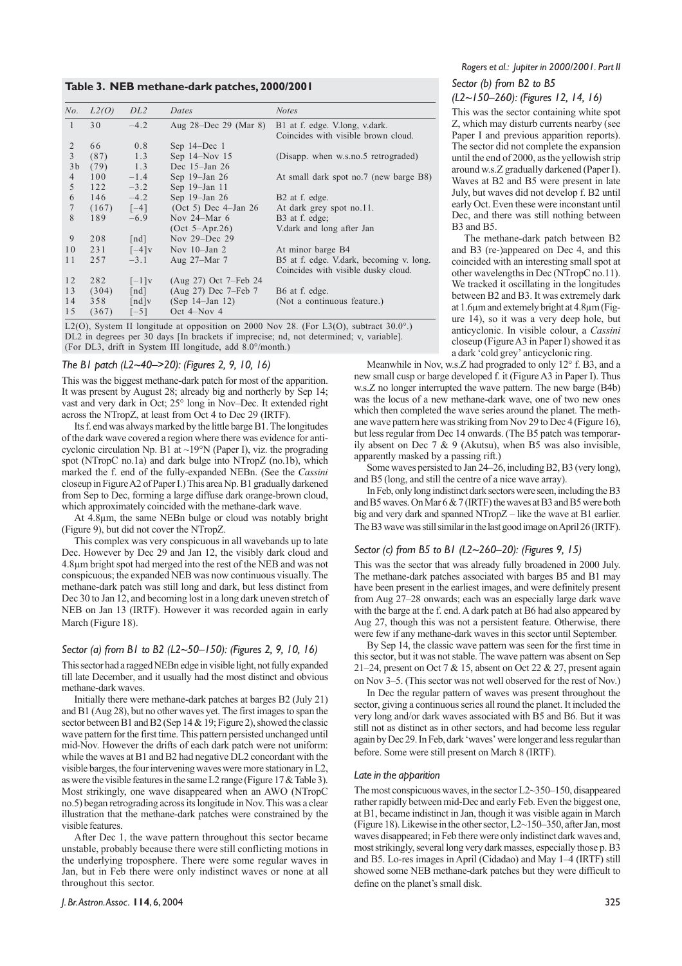#### **Table 3. NEB methane-dark patches, 2000/2001**

| No.            | L2(O) | DL <sub>2</sub>      | Dates                    | <b>Notes</b>                                                                    |
|----------------|-------|----------------------|--------------------------|---------------------------------------------------------------------------------|
| $\mathbf{1}$   | 30    | $-4.2$               | Aug $28$ -Dec 29 (Mar 8) | B1 at f. edge. V.long, v.dark.<br>Coincides with visible brown cloud.           |
| 2              | 66    | 0.8                  | Sep $14$ –Dec $1$        |                                                                                 |
| 3              | (87)  | 1.3                  | Sep $14 - Nov 15$        | (Disapp. when w.s.no.5 retrograded)                                             |
| 3 <sub>b</sub> | (79)  | 1.3                  | Dec 15-Jan 26            |                                                                                 |
| $\overline{4}$ | 100   | $-1.4$               | Sep $19$ -Jan $26$       | At small dark spot no.7 (new barge B8)                                          |
| 5              | 122   | $-3.2$               | Sep 19-Jan 11            |                                                                                 |
| 6              | 146   | $-4.2$               | Sep 19-Jan 26            | B <sub>2</sub> at f. edge.                                                      |
| $\overline{7}$ | (167) | $[-4]$               | $(Oct 5) Dec 4-Jan 26$   | At dark grey spot no.11.                                                        |
| 8              | 189   | $-6.9$               | Nov $24-Mar$ 6           | B <sub>3</sub> at f. edge;                                                      |
|                |       |                      | $(Oct 5-Apr.26)$         | V.dark and long after Jan                                                       |
| 9              | 208   | $\lceil nd \rceil$   | Nov $29 - Dec$ 29        |                                                                                 |
| 10             | 231   | $[-4]v$              | Nov $10$ –Jan 2          | At minor barge B4                                                               |
| 11             | 257   | $-3.1$               | Aug 27-Mar 7             | B5 at f. edge. V.dark, becoming v. long.<br>Coincides with visible dusky cloud. |
| 12             | 282   | $[-1]v$              | (Aug 27) Oct 7–Feb 24    |                                                                                 |
| 13             | (304) | $\lceil nd \rceil$   | (Aug 27) Dec 7–Feb 7     | B <sub>6</sub> at f. edge.                                                      |
| 14             | 358   | $\lceil nd \rceil v$ | (Sep 14–Jan 12)          | (Not a continuous feature.)                                                     |
| 15             | (367) | $[-5]$               | Oct 4-Nov 4              |                                                                                 |
|                |       |                      |                          |                                                                                 |

L2(O), System II longitude at opposition on 2000 Nov 28. (For L3(O), subtract 30.0°.) DL2 in degrees per 30 days [In brackets if imprecise; nd, not determined; v, variable]. (For DL3, drift in System III longitude, add 8.0°/month.)

#### *The B1 patch (L2~40–>20): (Figures 2, 9, 10, 16)*

This was the biggest methane-dark patch for most of the apparition. It was present by August 28; already big and northerly by Sep 14; vast and very dark in Oct; 25° long in Nov–Dec. It extended right across the NTropZ, at least from Oct 4 to Dec 29 (IRTF).

Its f. end was always marked by the little barge B1. The longitudes of the dark wave covered a region where there was evidence for anticyclonic circulation Np. B1 at  $\sim$ 19°N (Paper I), viz. the prograding spot (NTropC no.1a) and dark bulge into NTropZ (no.1b), which marked the f. end of the fully-expanded NEBn. (See the *Cassini* closeup in Figure A2 of Paper I.) This area Np. B1 gradually darkened from Sep to Dec, forming a large diffuse dark orange-brown cloud, which approximately coincided with the methane-dark wave.

At 4.8µm, the same NEBn bulge or cloud was notably bright (Figure 9), but did not cover the NTropZ.

This complex was very conspicuous in all wavebands up to late Dec. However by Dec 29 and Jan 12, the visibly dark cloud and 4.8µm bright spot had merged into the rest of the NEB and was not conspicuous; the expanded NEB was now continuous visually. The methane-dark patch was still long and dark, but less distinct from Dec 30 to Jan 12, and becoming lost in a long dark uneven stretch of NEB on Jan 13 (IRTF). However it was recorded again in early March (Figure 18).

#### *Sector (a) from B1 to B2 (L2~50–150): (Figures 2, 9, 10, 16)*

This sector had a ragged NEBn edge in visible light, not fully expanded till late December, and it usually had the most distinct and obvious methane-dark waves.

Initially there were methane-dark patches at barges B2 (July 21) and B1 (Aug 28), but no other waves yet. The first images to span the sector between B1 and B2 (Sep 14 & 19; Figure 2), showed the classic wave pattern for the first time. This pattern persisted unchanged until mid-Nov. However the drifts of each dark patch were not uniform: while the waves at B1 and B2 had negative DL2 concordant with the visible barges, the four intervening waves were more stationary in L2, as were the visible features in the same L2 range (Figure 17 & Table 3). Most strikingly, one wave disappeared when an AWO (NTropC no.5) began retrograding across its longitude in Nov. This was a clear illustration that the methane-dark patches were constrained by the visible features.

After Dec 1, the wave pattern throughout this sector became unstable, probably because there were still conflicting motions in the underlying troposphere. There were some regular waves in Jan, but in Feb there were only indistinct waves or none at all throughout this sector.

### *Sector (b) from B2 to B5 (L2~150–260): (Figures 12, 14, 16)*

This was the sector containing white spot Z, which may disturb currents nearby (see Paper I and previous apparition reports).

The sector did not complete the expansion until the end of 2000, as the yellowish strip around w.s.Z gradually darkened (Paper I). Waves at B2 and B5 were present in late July, but waves did not develop f. B2 until early Oct. Even these were inconstant until Dec, and there was still nothing between B3 and B5.

The methane-dark patch between B2 and B3 (re-)appeared on Dec 4, and this coincided with an interesting small spot at other wavelengths in Dec (NTropC no.11). We tracked it oscillating in the longitudes between B2 and B3. It was extremely dark at 1.6µm and extemely bright at 4.8µm (Figure 14), so it was a very deep hole, but anticyclonic. In visible colour, a *Cassini* closeup (Figure A3 in Paper I) showed it as a dark 'cold grey' anticyclonic ring.

Meanwhile in Nov, w.s.Z had prograded to only 12° f. B3, and a new small cusp or barge developed f. it (Figure A3 in Paper I). Thus w.s.Z no longer interrupted the wave pattern. The new barge (B4b) was the locus of a new methane-dark wave, one of two new ones which then completed the wave series around the planet. The methane wave pattern here was striking from Nov 29 to Dec 4 (Figure 16), but less regular from Dec 14 onwards. (The B5 patch was temporarily absent on Dec 7 & 9 (Akutsu), when  $B5$  was also invisible, apparently masked by a passing rift.)

Some waves persisted to Jan 24–26, including B2, B3 (very long), and B5 (long, and still the centre of a nice wave array).

In Feb, only long indistinct dark sectors were seen, including the B3 and B5 waves. On Mar 6 & 7 (IRTF) the waves at B3 and B5 were both big and very dark and spanned NTropZ – like the wave at B1 earlier. The B3 wave was still similar in the last good image on April 26 (IRTF).

#### *Sector (c) from B5 to B1 (L2~260–20): (Figures 9, 15)*

This was the sector that was already fully broadened in 2000 July. The methane-dark patches associated with barges B5 and B1 may have been present in the earliest images, and were definitely present from Aug 27–28 onwards; each was an especially large dark wave with the barge at the f. end. A dark patch at B6 had also appeared by Aug 27, though this was not a persistent feature. Otherwise, there were few if any methane-dark waves in this sector until September.

By Sep 14, the classic wave pattern was seen for the first time in this sector, but it was not stable. The wave pattern was absent on Sep 21–24, present on Oct 7 & 15, absent on Oct 22 & 27, present again on Nov 3–5. (This sector was not well observed for the rest of Nov.)

In Dec the regular pattern of waves was present throughout the sector, giving a continuous series all round the planet. It included the very long and/or dark waves associated with B5 and B6. But it was still not as distinct as in other sectors, and had become less regular again by Dec 29. In Feb, dark 'waves' were longer and less regular than before. Some were still present on March 8 (IRTF).

#### *Late in the apparition*

The most conspicuous waves, in the sector L2~350–150, disappeared rather rapidly between mid-Dec and early Feb. Even the biggest one, at B1, became indistinct in Jan, though it was visible again in March (Figure 18). Likewise in the other sector,  $L2 \sim 150-350$ , after Jan, most waves disappeared; in Feb there were only indistinct dark waves and, most strikingly, several long very dark masses, especially those p. B3 and B5. Lo-res images in April (Cidadao) and May 1–4 (IRTF) still showed some NEB methane-dark patches but they were difficult to define on the planet's small disk.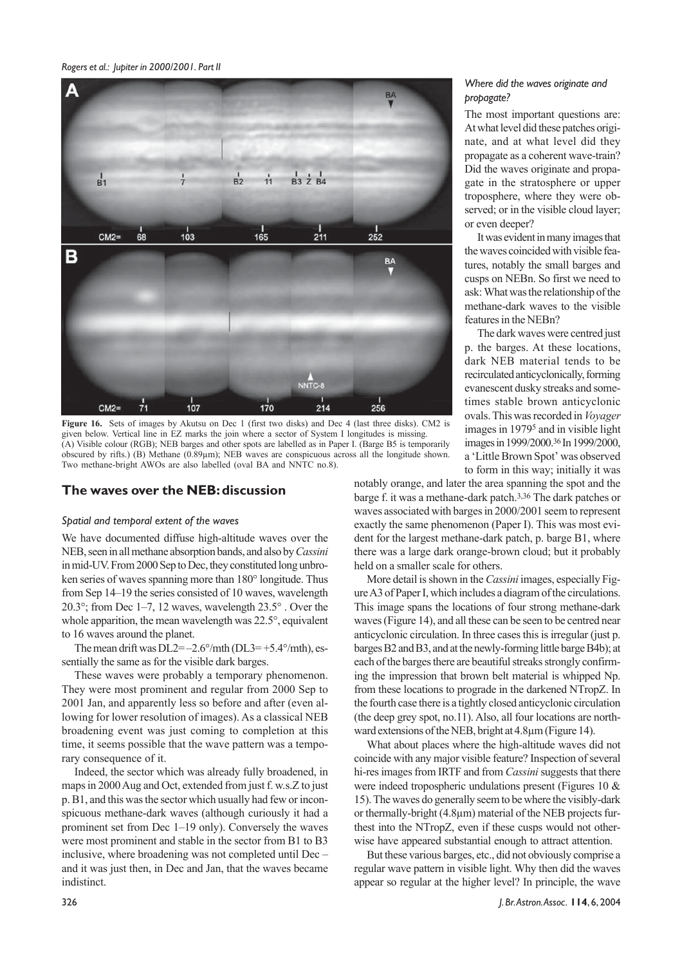

**Figure 16.** Sets of images by Akutsu on Dec 1 (first two disks) and Dec 4 (last three disks). CM2 is given below. Vertical line in EZ marks the join where a sector of System I longitudes is missing. (A) Visible colour (RGB); NEB barges and other spots are labelled as in Paper I. (Barge B5 is temporarily obscured by rifts.) (B) Methane (0.89µm); NEB waves are conspicuous across all the longitude shown. Two methane-bright AWOs are also labelled (oval BA and NNTC no.8).

#### **The waves over the NEB: discussion**

#### *Spatial and temporal extent of the waves*

We have documented diffuse high-altitude waves over the NEB, seen in all methane absorption bands, and also by *Cassini* in mid-UV. From 2000 Sep to Dec, they constituted long unbroken series of waves spanning more than 180° longitude. Thus from Sep 14–19 the series consisted of 10 waves, wavelength 20.3°; from Dec 1–7, 12 waves, wavelength 23.5° . Over the whole apparition, the mean wavelength was 22.5°, equivalent to 16 waves around the planet.

The mean drift was  $DL2=-2.6^{\circ}/\text{mth}$  ( $DL3=+5.4^{\circ}/\text{mth}$ ), essentially the same as for the visible dark barges.

These waves were probably a temporary phenomenon. They were most prominent and regular from 2000 Sep to 2001 Jan, and apparently less so before and after (even allowing for lower resolution of images). As a classical NEB broadening event was just coming to completion at this time, it seems possible that the wave pattern was a temporary consequence of it.

Indeed, the sector which was already fully broadened, in maps in 2000 Aug and Oct, extended from just f. w.s.Z to just p. B1, and this was the sector which usually had few or inconspicuous methane-dark waves (although curiously it had a prominent set from Dec 1–19 only). Conversely the waves were most prominent and stable in the sector from B1 to B3 inclusive, where broadening was not completed until Dec – and it was just then, in Dec and Jan, that the waves became indistinct.

#### *Where did the waves originate and propagate?*

The most important questions are: At what level did these patches originate, and at what level did they propagate as a coherent wave-train? Did the waves originate and propagate in the stratosphere or upper troposphere, where they were observed; or in the visible cloud layer; or even deeper?

It was evident in many images that the waves coincided with visible features, notably the small barges and cusps on NEBn. So first we need to ask: What was the relationship of the methane-dark waves to the visible features in the NEBn?

The dark waves were centred just p. the barges. At these locations, dark NEB material tends to be recirculated anticyclonically, forming evanescent dusky streaks and sometimes stable brown anticyclonic ovals. This was recorded in *Voyager* images in 19795 and in visible light images in 1999/2000.36 In 1999/2000, a 'Little Brown Spot' was observed to form in this way; initially it was

notably orange, and later the area spanning the spot and the barge f. it was a methane-dark patch.3,36 The dark patches or waves associated with barges in 2000/2001 seem to represent exactly the same phenomenon (Paper I). This was most evident for the largest methane-dark patch, p. barge B1, where there was a large dark orange-brown cloud; but it probably held on a smaller scale for others.

More detail is shown in the *Cassini* images, especially Figure A3 of Paper I, which includes a diagram of the circulations. This image spans the locations of four strong methane-dark waves (Figure 14), and all these can be seen to be centred near anticyclonic circulation. In three cases this is irregular (just p. barges B2 and B3, and at the newly-forming little barge B4b); at each of the barges there are beautiful streaks strongly confirming the impression that brown belt material is whipped Np. from these locations to prograde in the darkened NTropZ. In the fourth case there is a tightly closed anticyclonic circulation (the deep grey spot, no.11). Also, all four locations are northward extensions of the NEB, bright at 4.8µm (Figure 14).

What about places where the high-altitude waves did not coincide with any major visible feature? Inspection of several hi-res images from IRTF and from *Cassini* suggests that there were indeed tropospheric undulations present (Figures 10 & 15). The waves do generally seem to be where the visibly-dark or thermally-bright (4.8µm) material of the NEB projects furthest into the NTropZ, even if these cusps would not otherwise have appeared substantial enough to attract attention.

But these various barges, etc., did not obviously comprise a regular wave pattern in visible light. Why then did the waves appear so regular at the higher level? In principle, the wave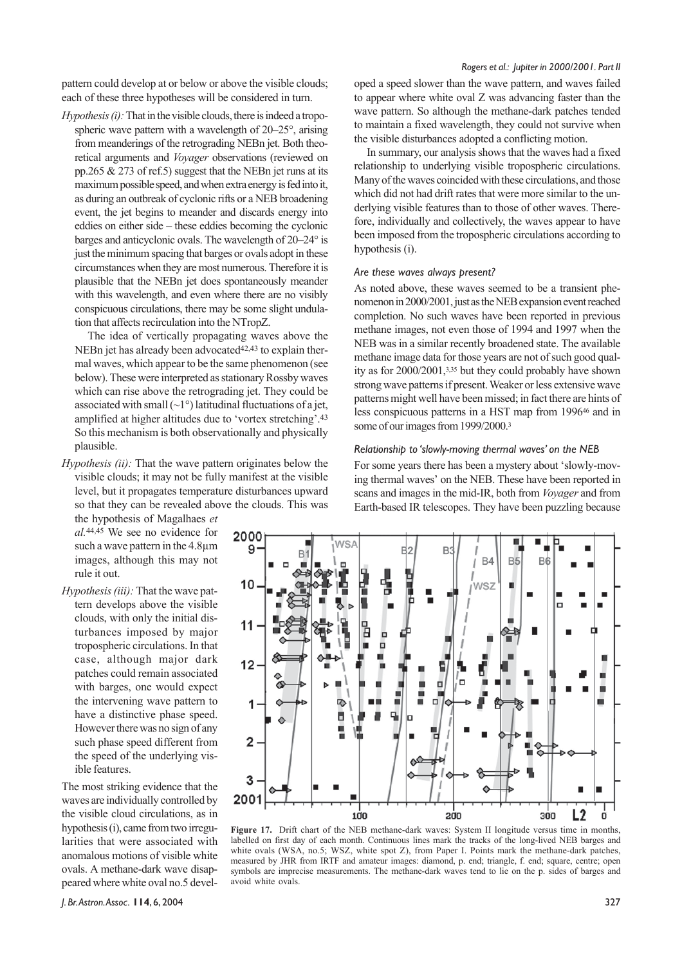pattern could develop at or below or above the visible clouds; each of these three hypotheses will be considered in turn.

*Hypothesis (i):* That in the visible clouds, there is indeed a tropospheric wave pattern with a wavelength of 20–25°, arising from meanderings of the retrograding NEBn jet. Both theoretical arguments and *Voyager* observations (reviewed on pp.265 & 273 of ref.5) suggest that the NEBn jet runs at its maximum possible speed, and when extra energy is fed into it, as during an outbreak of cyclonic rifts or a NEB broadening event, the jet begins to meander and discards energy into eddies on either side – these eddies becoming the cyclonic barges and anticyclonic ovals. The wavelength of 20–24° is just the minimum spacing that barges or ovals adopt in these circumstances when they are most numerous. Therefore it is plausible that the NEBn jet does spontaneously meander with this wavelength, and even where there are no visibly conspicuous circulations, there may be some slight undulation that affects recirculation into the NTropZ.

The idea of vertically propagating waves above the NEBn jet has already been advocated $42,43$  to explain thermal waves, which appear to be the same phenomenon (see below). These were interpreted as stationary Rossby waves which can rise above the retrograding jet. They could be associated with small  $(\sim 1^{\circ})$  latitudinal fluctuations of a jet, amplified at higher altitudes due to 'vortex stretching'.43 So this mechanism is both observationally and physically plausible.

*Hypothesis (ii):* That the wave pattern originates below the visible clouds; it may not be fully manifest at the visible level, but it propagates temperature disturbances upward so that they can be revealed above the clouds. This was

the hypothesis of Magalhaes *et al.*44,45 We see no evidence for such a wave pattern in the 4.8µm images, although this may not rule it out.

*Hypothesis (iii):* That the wave pattern develops above the visible clouds, with only the initial disturbances imposed by major tropospheric circulations. In that case, although major dark patches could remain associated with barges, one would expect the intervening wave pattern to have a distinctive phase speed. However there was no sign of any such phase speed different from the speed of the underlying visible features.

The most striking evidence that the waves are individually controlled by the visible cloud circulations, as in hypothesis (i), came from two irregularities that were associated with anomalous motions of visible white ovals. A methane-dark wave disappeared where white oval no.5 devel-

#### *Rogers et al.: Jupiter in 2000/2001. Part II*

oped a speed slower than the wave pattern, and waves failed to appear where white oval Z was advancing faster than the wave pattern. So although the methane-dark patches tended to maintain a fixed wavelength, they could not survive when the visible disturbances adopted a conflicting motion.

In summary, our analysis shows that the waves had a fixed relationship to underlying visible tropospheric circulations. Many of the waves coincided with these circulations, and those which did not had drift rates that were more similar to the underlying visible features than to those of other waves. Therefore, individually and collectively, the waves appear to have been imposed from the tropospheric circulations according to hypothesis (i).

#### *Are these waves always present?*

As noted above, these waves seemed to be a transient phenomenon in 2000/2001, just as the NEB expansion event reached completion. No such waves have been reported in previous methane images, not even those of 1994 and 1997 when the NEB was in a similar recently broadened state. The available methane image data for those years are not of such good quality as for 2000/2001,3,35 but they could probably have shown strong wave patterns if present. Weaker or less extensive wave patterns might well have been missed; in fact there are hints of less conspicuous patterns in a HST map from 199646 and in some of our images from 1999/2000.3

#### *Relationship to 'slowly-moving thermal waves' on the NEB*

For some years there has been a mystery about 'slowly-moving thermal waves' on the NEB. These have been reported in scans and images in the mid-IR, both from *Voyager* and from Earth-based IR telescopes. They have been puzzling because



**Figure 17.** Drift chart of the NEB methane-dark waves: System II longitude versus time in months, labelled on first day of each month. Continuous lines mark the tracks of the long-lived NEB barges and white ovals (WSA, no.5; WSZ, white spot Z), from Paper I. Points mark the methane-dark patches, measured by JHR from IRTF and amateur images: diamond, p. end; triangle, f. end; square, centre; open symbols are imprecise measurements. The methane-dark waves tend to lie on the p. sides of barges and avoid white ovals.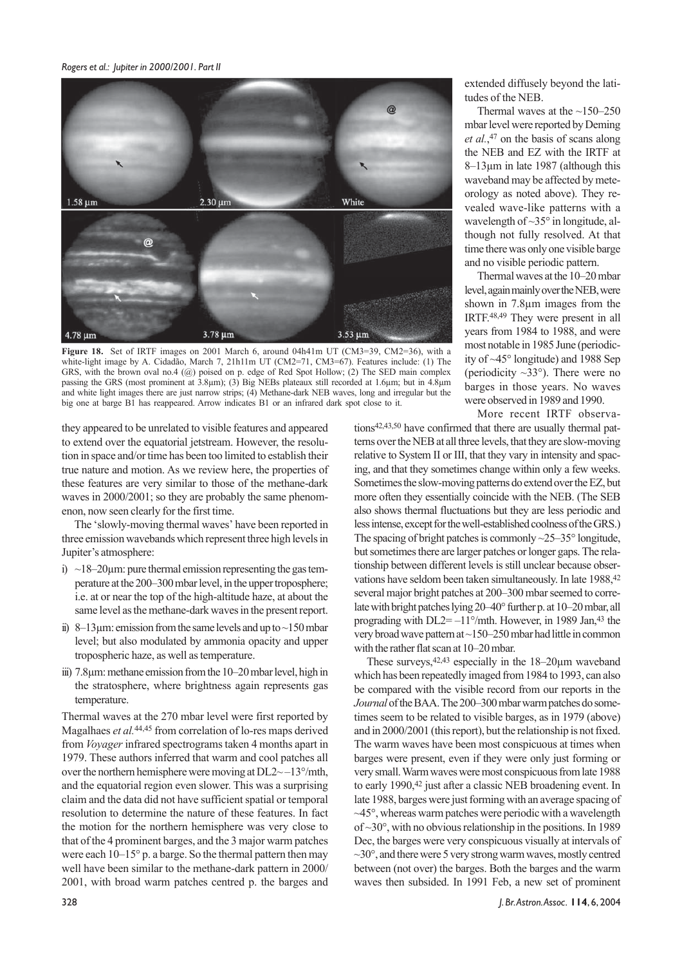

**Figure 18.** Set of IRTF images on 2001 March 6, around 04h41m UT (CM3=39, CM2=36), with a white-light image by A. Cidadão, March 7, 21h11m UT (CM2=71, CM3=67). Features include: (1) The GRS, with the brown oval no.4 (@) poised on p. edge of Red Spot Hollow; (2) The SED main complex passing the GRS (most prominent at 3.8µm); (3) Big NEBs plateaux still recorded at 1.6µm; but in 4.8µm and white light images there are just narrow strips; (4) Methane-dark NEB waves, long and irregular but the big one at barge B1 has reappeared. Arrow indicates B1 or an infrared dark spot close to it.

they appeared to be unrelated to visible features and appeared to extend over the equatorial jetstream. However, the resolution in space and/or time has been too limited to establish their true nature and motion. As we review here, the properties of these features are very similar to those of the methane-dark waves in 2000/2001; so they are probably the same phenomenon, now seen clearly for the first time.

The 'slowly-moving thermal waves' have been reported in three emission wavebands which represent three high levels in Jupiter's atmosphere:

- i)  $\sim$ 18–20 $\mu$ m: pure thermal emission representing the gas temperature at the 200–300 mbar level, in the upper troposphere; i.e. at or near the top of the high-altitude haze, at about the same level as the methane-dark waves in the present report.
- ii) 8–13 $\mu$ m: emission from the same levels and up to  $\sim$ 150 mbar level; but also modulated by ammonia opacity and upper tropospheric haze, as well as temperature.
- iii) 7.8µm: methane emission from the 10–20 mbar level, high in the stratosphere, where brightness again represents gas temperature.

Thermal waves at the 270 mbar level were first reported by Magalhaes *et al.*44,45 from correlation of lo-res maps derived from *Voyager* infrared spectrograms taken 4 months apart in 1979. These authors inferred that warm and cool patches all over the northern hemisphere were moving at DL2~ –13°/mth, and the equatorial region even slower. This was a surprising claim and the data did not have sufficient spatial or temporal resolution to determine the nature of these features. In fact the motion for the northern hemisphere was very close to that of the 4 prominent barges, and the 3 major warm patches were each 10–15° p. a barge. So the thermal pattern then may well have been similar to the methane-dark pattern in 2000/ 2001, with broad warm patches centred p. the barges and extended diffusely beyond the latitudes of the NEB.

Thermal waves at the  $~150-250$ mbar level were reported by Deming *et al.*, 47 on the basis of scans along the NEB and EZ with the IRTF at 8–13µm in late 1987 (although this waveband may be affected by meteorology as noted above). They revealed wave-like patterns with a wavelength of ~35° in longitude, although not fully resolved. At that time there was only one visible barge and no visible periodic pattern.

Thermal waves at the 10–20 mbar level, again mainly over the NEB, were shown in 7.8 $\mu$ m images from the IRTF.48,49 They were present in all years from 1984 to 1988, and were most notable in 1985 June (periodicity of ~45° longitude) and 1988 Sep (periodicity  $\sim$ 33°). There were no barges in those years. No waves were observed in 1989 and 1990.

More recent IRTF observations42,43,50 have confirmed that there are usually thermal patterns over the NEB at all three levels, that they are slow-moving relative to System II or III, that they vary in intensity and spacing, and that they sometimes change within only a few weeks. Sometimes the slow-moving patterns do extend over the EZ, but more often they essentially coincide with the NEB. (The SEB also shows thermal fluctuations but they are less periodic and less intense, except for the well-established coolness of the GRS.) The spacing of bright patches is commonly  $\sim$ 25–35 $\degree$  longitude, but sometimes there are larger patches or longer gaps. The relationship between different levels is still unclear because observations have seldom been taken simultaneously. In late 1988, 42 several major bright patches at 200–300 mbar seemed to correlate with bright patches lying 20–40° further p. at 10–20 mbar, all prograding with  $DL2=-11^{\circ}/m$ th. However, in 1989 Jan, <sup>43</sup> the very broad wave pattern at ~150–250 mbar had little in common with the rather flat scan at 10–20 mbar.

These surveys, <sup>42,43</sup> especially in the 18–20<sub>um</sub> waveband which has been repeatedly imaged from 1984 to 1993, can also be compared with the visible record from our reports in the *Journal* of the BAA. The 200–300 mbar warm patches do sometimes seem to be related to visible barges, as in 1979 (above) and in 2000/2001 (this report), but the relationship is not fixed. The warm waves have been most conspicuous at times when barges were present, even if they were only just forming or very small. Warm waves were most conspicuous from late 1988 to early 1990, <sup>42</sup> just after a classic NEB broadening event. In late 1988, barges were just forming with an average spacing of ~45°, whereas warm patches were periodic with a wavelength of  $\sim$ 30°, with no obvious relationship in the positions. In 1989 Dec, the barges were very conspicuous visually at intervals of  $\sim$ 30 $^{\circ}$ , and there were 5 very strong warm waves, mostly centred between (not over) the barges. Both the barges and the warm waves then subsided. In 1991 Feb, a new set of prominent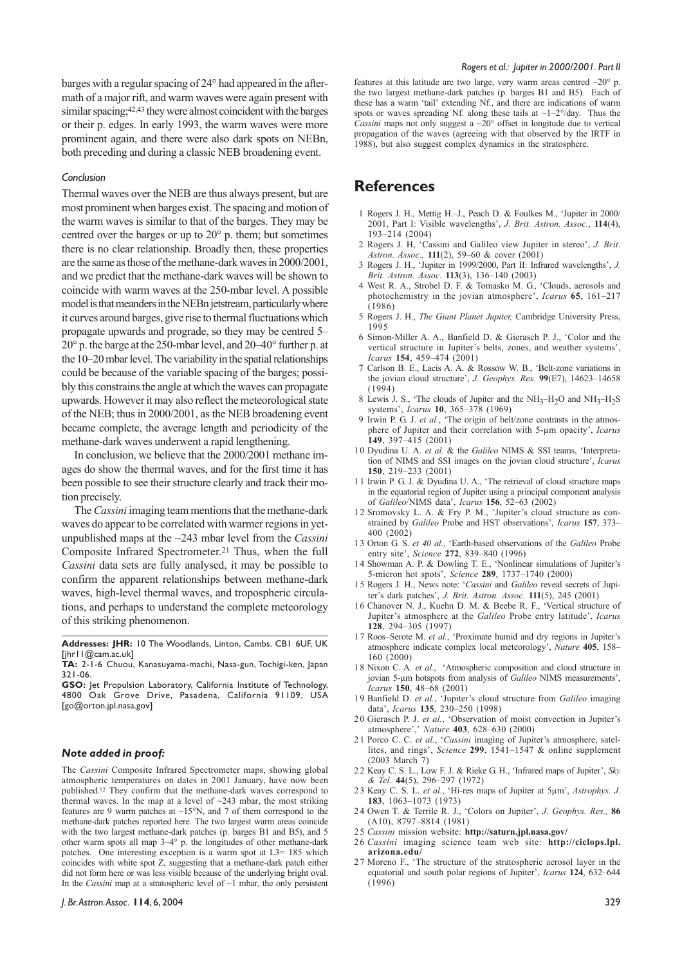barges with a regular spacing of 24° had appeared in the aftermath of a major rift, and warm waves were again present with similar spacing;42,43 they were almost coincident with the barges or their p. edges. In early 1993, the warm waves were more prominent again, and there were also dark spots on NEBn, both preceding and during a classic NEB broadening event.

#### *Conclusion*

Thermal waves over the NEB are thus always present, but are most prominent when barges exist. The spacing and motion of the warm waves is similar to that of the barges. They may be centred over the barges or up to 20° p. them; but sometimes there is no clear relationship. Broadly then, these properties are the same as those of the methane-dark waves in 2000/2001, and we predict that the methane-dark waves will be shown to coincide with warm waves at the 250-mbar level. A possible model is that meanders in the NEBn jetstream, particularly where it curves around barges, give rise to thermal fluctuations which propagate upwards and prograde, so they may be centred 5– 20° p. the barge at the 250-mbar level, and 20–40° further p. at the 10–20 mbar level. The variability in the spatial relationships could be because of the variable spacing of the barges; possibly this constrains the angle at which the waves can propagate upwards. However it may also reflect the meteorological state of the NEB; thus in 2000/2001, as the NEB broadening event became complete, the average length and periodicity of the methane-dark waves underwent a rapid lengthening.

In conclusion, we believe that the 2000/2001 methane images do show the thermal waves, and for the first time it has been possible to see their structure clearly and track their motion precisely.

The *Cassini* imaging team mentions that the methane-dark waves do appear to be correlated with warmer regions in yetunpublished maps at the ~243 mbar level from the *Cassini* Composite Infrared Spectrometer.21 Thus, when the full *Cassini* data sets are fully analysed, it may be possible to confirm the apparent relationships between methane-dark waves, high-level thermal waves, and tropospheric circulations, and perhaps to understand the complete meteorology of this striking phenomenon.

**Addresses: JHR:** 10 The Woodlands, Linton, Cambs. CB1 6UF, UK [jhr11@cam.ac.uk]

**TA:** 2-1-6 Chuou, Kanasuyama-machi, Nasa-gun, Tochigi-ken, Japan 321-06.

**GSO:** Jet Propulsion Laboratory, California Institute of Technology, 4800 Oak Grove Drive, Pasadena, California 91109, USA [go@orton.jpl.nasa.gov]

#### *Note added in proof:*

The *Cassini* Composite Infrared Spectrometer maps, showing global atmospheric temperatures on dates in 2001 January, have now been published.52 They confirm that the methane-dark waves correspond to thermal waves. In the map at a level of  $\sim$ 243 mbar, the most striking features are 9 warm patches at  $\sim$ 15°N, and 7 of them correspond to the methane-dark patches reported here. The two largest warm areas coincide with the two largest methane-dark patches (p. barges B1 and B5), and 5 other warm spots all map 3–4° p. the longitudes of other methane-dark patches. One interesting exception is a warm spot at L3= 185 which coincides with white spot Z, suggesting that a methane-dark patch either did not form here or was less visible because of the underlying bright oval. In the *Cassini* map at a stratospheric level of ~1 mbar, the only persistent

features at this latitude are two large, very warm areas centred  $\sim$ 20 $^{\circ}$  p. the two largest methane-dark patches (p. barges B1 and B5). Each of these has a warm 'tail' extending Nf., and there are indications of warm spots or waves spreading Nf. along these tails at  $\sim$ 1–2°/day. Thus the *Cassini* maps not only suggest a ~20° offset in longitude due to vertical propagation of the waves (agreeing with that observed by the IRTF in 1988), but also suggest complex dynamics in the stratosphere.

### **References**

- 1 Rogers J. H., Mettig H.–J., Peach D. & Foulkes M., 'Jupiter in 2000/ 2001, Part I: Visible wavelengths', *J. Brit. Astron. Assoc.*, **114**(4), 193–214 (2004)
- 2 Rogers J. H, 'Cassini and Galileo view Jupiter in stereo', *J. Brit. Astron. Assoc.,* **111**(2), 59–60 & cover (2001)
- 3 Rogers J. H., 'Jupiter in 1999/2000, Part II: Infrared wavelengths', *J. Brit. Astron. Assoc.* **113**(3), 136–140 (2003)
- 4 West R. A., Strobel D. F. & Tomasko M. G., 'Clouds, aerosols and photochemistry in the jovian atmosphere', *Icarus* **65**, 161–217 (1986)
- 5 Rogers J. H., *The Giant Planet Jupiter,* Cambridge University Press, 1995
- 6 Simon-Miller A. A., Banfield D. & Gierasch P. J., 'Color and the vertical structure in Jupiter's belts, zones, and weather systems', *Icarus* **154**, 459–474 (2001)
- 7 Carlson B. E., Lacis A. A. & Rossow W. B., 'Belt-zone variations in the jovian cloud structure', *J. Geophys. Res.* **99**(E7), 14623–14658 (1994)
- 8 Lewis J. S., 'The clouds of Jupiter and the  $NH_3-H_2O$  and  $NH_3-H_2S$ systems', *Icarus* **10**, 365–378 (1969)
- 9 Irwin P. G. J. *et al.*, 'The origin of belt/zone contrasts in the atmosphere of Jupiter and their correlation with 5-µm opacity', *Icarus* **149**, 397–415 (2001)
- 1 0 Dyudina U. A. *et al.* & the *Galileo* NIMS & SSI teams, 'Interpretation of NIMS and SSI images on the jovian cloud structure', *Icarus* **150**, 219–233 (2001)
- 1 1 Irwin P. G. J. & Dyudina U. A., 'The retrieval of cloud structure maps in the equatorial region of Jupiter using a principal component analysis of *Galileo*/NIMS data', *Icarus* **156**, 52–63 (2002)
- 1 2 Sromovsky L. A. & Fry P. M., 'Jupiter's cloud structure as constrained by *Galileo* Probe and HST observations', *Icarus* **157**, 373– 400 (2002)
- 13 Orton G. S. *et 40 al.*, 'Earth-based observations of the *Galileo* Probe entry site', *Science* **272**, 839–840 (1996)
- 1 4 Showman A. P. & Dowling T. E., 'Nonlinear simulations of Jupiter's 5-micron hot spots', *Science* **289**, 1737–1740 (2000)
- 1 5 Rogers J. H., News note: '*Cassini* and *Galileo* reveal secrets of Jupiter's dark patches', *J. Brit. Astron. Assoc.* **111**(5), 245 (2001)
- 1 6 Chanover N. J., Kuehn D. M. & Beebe R. F., 'Vertical structure of Jupiter's atmosphere at the *Galileo* Probe entry latitude', *Icarus* **128**, 294–305 (1997)
- 17 Roos–Serote M. *et al.*, 'Proximate humid and dry regions in Jupiter's atmosphere indicate complex local meteorology', *Nature* **405**, 158– 160 (2000)
- 1 8 Nixon C. A. *et al.*, 'Atmospheric composition and cloud structure in jovian 5-µm hotspots from analysis of *Galileo* NIMS measurements', *Icarus* **150**, 48–68 (2001)
- 19 Banfield D. *et al.*, 'Jupiter's cloud structure from *Galileo* imaging data', *Icarus* **135**, 230–250 (1998)
- 2 0 Gierasch P. J. *et al.*, 'Observation of moist convection in Jupiter's atmosphere',' *Nature* **403**, 628–630 (2000)
- 2 1 Porco C. C. *et al.*, '*Cassini* imaging of Jupiter's atmosphere, satellites, and rings', *Science* **299**, 1541–1547 & online supplement (2003 March 7)
- 2 2 Keay C. S. L., Low F. J. & Rieke G. H., 'Infrared maps of Jupiter', *Sky & Tel*. **44**(5), 296–297 (1972)
- 23 Keay C. S. L. *et al.*, 'Hi-res maps of Jupiter at 5µm', *Astrophys. J.* **183**, 1063–1073 (1973)
- 24 Owen T. & Terrile R. J., 'Colors on Jupiter', *J. Geophys. Res.,* **86** (A10), 8797–8814 (1981)
- 2 5 *Cassini* mission website: **http://saturn.jpl.nasa.gov/**
- 2 6 *Cassini* imaging science team web site: **http://ciclops.lpl. arizona.edu/**
- 2 7 Moreno F., 'The structure of the stratospheric aerosol layer in the equatorial and south polar regions of Jupiter', *Icarus* **124**, 632–644  $(1996)$